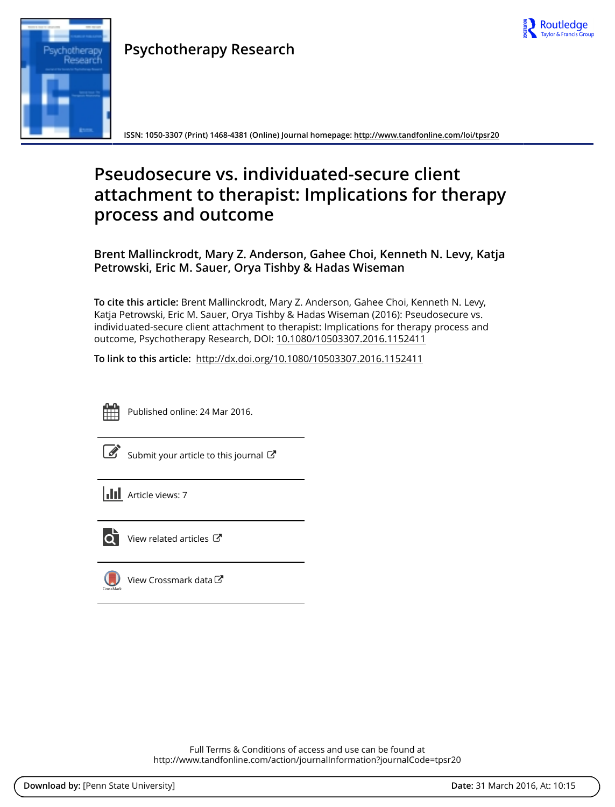

# Research

**Psychotherapy Research**

**ISSN: 1050-3307 (Print) 1468-4381 (Online) Journal homepage:<http://www.tandfonline.com/loi/tpsr20>**

# **Pseudosecure vs. individuated-secure client attachment to therapist: Implications for therapy process and outcome**

**Brent Mallinckrodt, Mary Z. Anderson, Gahee Choi, Kenneth N. Levy, Katja Petrowski, Eric M. Sauer, Orya Tishby & Hadas Wiseman**

**To cite this article:** Brent Mallinckrodt, Mary Z. Anderson, Gahee Choi, Kenneth N. Levy, Katja Petrowski, Eric M. Sauer, Orya Tishby & Hadas Wiseman (2016): Pseudosecure vs. individuated-secure client attachment to therapist: Implications for therapy process and outcome, Psychotherapy Research, DOI: [10.1080/10503307.2016.1152411](http://www.tandfonline.com/action/showCitFormats?doi=10.1080/10503307.2016.1152411)

**To link to this article:** <http://dx.doi.org/10.1080/10503307.2016.1152411>



Published online: 24 Mar 2016.

[Submit your article to this journal](http://www.tandfonline.com/action/authorSubmission?journalCode=tpsr20&page=instructions)  $\mathbb{Z}$ 

**Article views: 7** 



 $\overline{\mathbf{Q}}$  [View related articles](http://www.tandfonline.com/doi/mlt/10.1080/10503307.2016.1152411)  $\mathbf{C}$ 

 $\bigcirc$  [View Crossmark data](http://crossmark.crossref.org/dialog/?doi=10.1080/10503307.2016.1152411&domain=pdf&date_stamp=2016-03-24) $\mathbb{Z}$ 

Full Terms & Conditions of access and use can be found at <http://www.tandfonline.com/action/journalInformation?journalCode=tpsr20>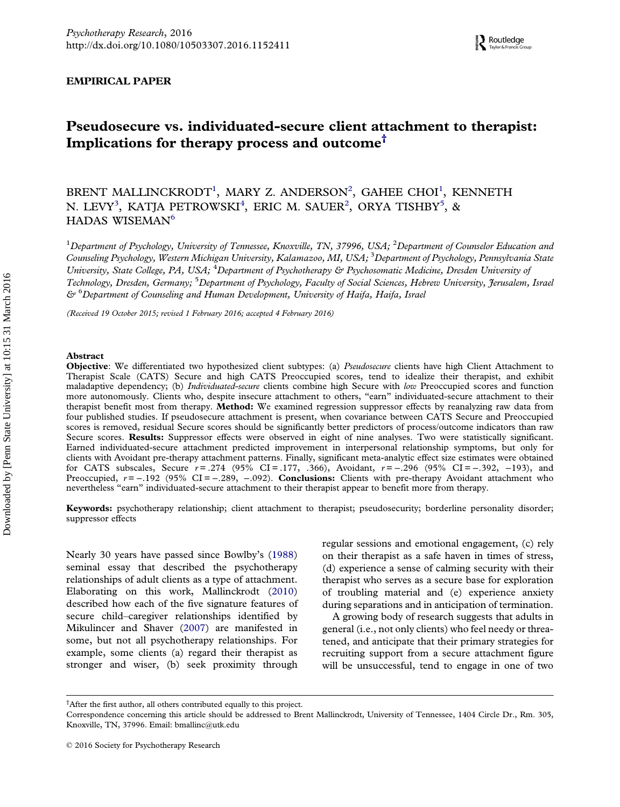### <span id="page-1-0"></span>EMPIRICAL PAPER

## Pseudosecure vs. individuated-secure client attachment to therapist: Implications for therapy process and outcome<sup>†</sup>

BRENT MALLINCKRODT<sup>1</sup>, MARY Z. ANDERSON<sup>2</sup>, GAHEE CHOI<sup>1</sup>, KENNETH N. LEVY $^3$ , KATJA PETROWSKI $^4$ , ERIC M. SAUER $^2$ , ORYA TISHBY $^5$ , & HADAS WISEMAN<sup>6</sup>

 $^1$ Department of Psychology, University of Tennessee, Knoxville, TN, 37996, USA;  $^2$ Department of Counselor Education and Counseling Psychology, Western Michigan University, Kalamazoo, MI, USA; <sup>3</sup>Department of Psychology, Pennsylvania State University, State College, PA, USA; <sup>4</sup>Department of Psychotherapy & Psychosomatic Medicine, Dresden University of Technology, Dresden, Germany; <sup>5</sup>Department of Psychology, Faculty of Social Sciences, Hebrew University, Jerusalem, Israel  $\mathfrak{S}^*$ <sup>6</sup>Department of Counseling and Human Development, University of Haifa, Haifa, Israel

(Received 19 October 2015; revised 1 February 2016; accepted 4 February 2016)

### Abstract

Objective: We differentiated two hypothesized client subtypes: (a) Pseudosecure clients have high Client Attachment to Therapist Scale (CATS) Secure and high CATS Preoccupied scores, tend to idealize their therapist, and exhibit maladaptive dependency; (b) *Individuated-secure* clients combine high Secure with low Preoccupied scores and function more autonomously. Clients who, despite insecure attachment to others, "earn" individuated-secure attachment to their therapist benefit most from therapy. Method: We examined regression suppressor effects by reanalyzing raw data from four published studies. If pseudosecure attachment is present, when covariance between CATS Secure and Preoccupied scores is removed, residual Secure scores should be significantly better predictors of process/outcome indicators than raw Secure scores. Results: Suppressor effects were observed in eight of nine analyses. Two were statistically significant. Earned individuated-secure attachment predicted improvement in interpersonal relationship symptoms, but only for clients with Avoidant pre-therapy attachment patterns. Finally, significant meta-analytic effect size estimates were obtained for CATS subscales, Secure  $r = .274$  (95% CI = .177, .366), Avoidant,  $r = -.296$  (95% CI = −.392, −193), and Preoccupied,  $r = -0.192$  (95% CI =  $-0.289$ ,  $-0.092$ ). **Conclusions:** Clients with pre-therapy Avoidant attachment who nevertheless "earn" individuated-secure attachment to their therapist appear to benefit more from therapy.

Keywords: psychotherapy relationship; client attachment to therapist; pseudosecurity; borderline personality disorder; suppressor effects

Nearly 30 years have passed since Bowlby's [\(1988\)](#page-13-0) seminal essay that described the psychotherapy relationships of adult clients as a type of attachment. Elaborating on this work, Mallinckrodt [\(2010\)](#page-14-0) described how each of the five signature features of secure child–caregiver relationships identified by Mikulincer and Shaver [\(2007\)](#page-14-0) are manifested in some, but not all psychotherapy relationships. For example, some clients (a) regard their therapist as stronger and wiser, (b) seek proximity through regular sessions and emotional engagement, (c) rely on their therapist as a safe haven in times of stress, (d) experience a sense of calming security with their therapist who serves as a secure base for exploration of troubling material and (e) experience anxiety during separations and in anticipation of termination.

A growing body of research suggests that adults in general (i.e., not only clients) who feel needy or threatened, and anticipate that their primary strategies for recruiting support from a secure attachment figure will be unsuccessful, tend to engage in one of two

<sup>†</sup> After the first author, all others contributed equally to this project.

Correspondence concerning this article should be addressed to Brent Mallinckrodt, University of Tennessee, 1404 Circle Dr., Rm. 305, Knoxville, TN, 37996. Email: [bmallinc@utk.edu](mailto:bmallinc@utk.edu)

<sup>© 2016</sup> Society for Psychotherapy Research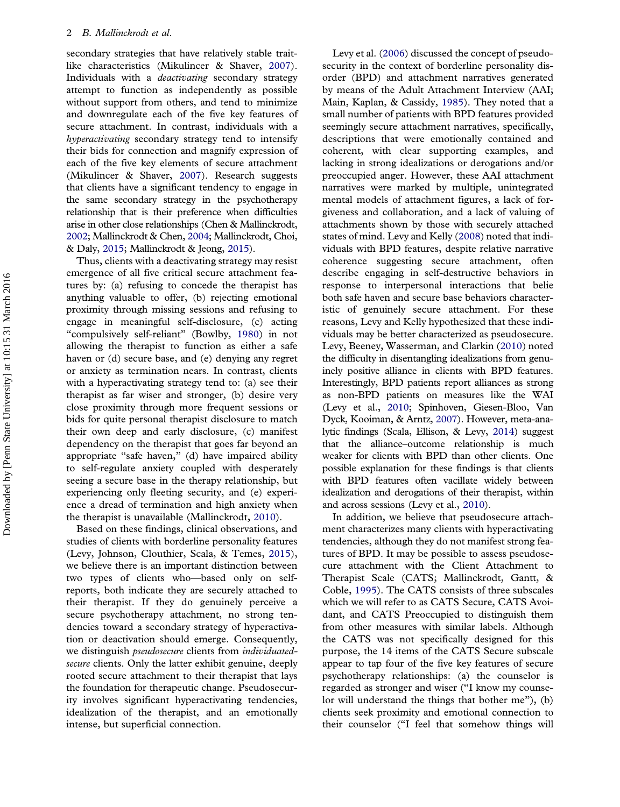<span id="page-2-0"></span>secondary strategies that have relatively stable traitlike characteristics (Mikulincer & Shaver, [2007\)](#page-14-0). Individuals with a *deactivating* secondary strategy attempt to function as independently as possible without support from others, and tend to minimize and downregulate each of the five key features of secure attachment. In contrast, individuals with a hyperactivating secondary strategy tend to intensify their bids for connection and magnify expression of each of the five key elements of secure attachment (Mikulincer & Shaver, [2007\)](#page-14-0). Research suggests that clients have a significant tendency to engage in the same secondary strategy in the psychotherapy relationship that is their preference when difficulties arise in other close relationships (Chen & Mallinckrodt, [2002](#page-13-0); Mallinckrodt & Chen, [2004](#page-14-0); Mallinckrodt, Choi, & Daly, [2015;](#page-14-0) Mallinckrodt & Jeong, [2015\)](#page-14-0).

Thus, clients with a deactivating strategy may resist emergence of all five critical secure attachment features by: (a) refusing to concede the therapist has anything valuable to offer, (b) rejecting emotional proximity through missing sessions and refusing to engage in meaningful self-disclosure, (c) acting "compulsively self-reliant" (Bowlby, [1980\)](#page-13-0) in not allowing the therapist to function as either a safe haven or (d) secure base, and (e) denying any regret or anxiety as termination nears. In contrast, clients with a hyperactivating strategy tend to: (a) see their therapist as far wiser and stronger, (b) desire very close proximity through more frequent sessions or bids for quite personal therapist disclosure to match their own deep and early disclosure, (c) manifest dependency on the therapist that goes far beyond an appropriate "safe haven," (d) have impaired ability to self-regulate anxiety coupled with desperately seeing a secure base in the therapy relationship, but experiencing only fleeting security, and (e) experience a dread of termination and high anxiety when the therapist is unavailable (Mallinckrodt, [2010\)](#page-14-0).

Based on these findings, clinical observations, and studies of clients with borderline personality features (Levy, Johnson, Clouthier, Scala, & Temes, [2015\)](#page-14-0), we believe there is an important distinction between two types of clients who—based only on selfreports, both indicate they are securely attached to their therapist. If they do genuinely perceive a secure psychotherapy attachment, no strong tendencies toward a secondary strategy of hyperactivation or deactivation should emerge. Consequently, we distinguish pseudosecure clients from individuatedsecure clients. Only the latter exhibit genuine, deeply rooted secure attachment to their therapist that lays the foundation for therapeutic change. Pseudosecurity involves significant hyperactivating tendencies, idealization of the therapist, and an emotionally intense, but superficial connection.

Levy et al. [\(2006\)](#page-14-0) discussed the concept of pseudosecurity in the context of borderline personality disorder (BPD) and attachment narratives generated by means of the Adult Attachment Interview (AAI; Main, Kaplan, & Cassidy, [1985\)](#page-14-0). They noted that a small number of patients with BPD features provided seemingly secure attachment narratives, specifically, descriptions that were emotionally contained and coherent, with clear supporting examples, and lacking in strong idealizations or derogations and/or preoccupied anger. However, these AAI attachment narratives were marked by multiple, unintegrated mental models of attachment figures, a lack of forgiveness and collaboration, and a lack of valuing of attachments shown by those with securely attached states of mind. Levy and Kelly ([2008](#page-14-0)) noted that individuals with BPD features, despite relative narrative coherence suggesting secure attachment, often describe engaging in self-destructive behaviors in response to interpersonal interactions that belie both safe haven and secure base behaviors characteristic of genuinely secure attachment. For these reasons, Levy and Kelly hypothesized that these individuals may be better characterized as pseudosecure. Levy, Beeney, Wasserman, and Clarkin ([2010](#page-14-0)) noted the difficulty in disentangling idealizations from genuinely positive alliance in clients with BPD features. Interestingly, BPD patients report alliances as strong as non-BPD patients on measures like the WAI (Levy et al., [2010;](#page-14-0) Spinhoven, Giesen-Bloo, Van Dyck, Kooiman, & Arntz, [2007](#page-14-0)). However, meta-analytic findings (Scala, Ellison, & Levy, [2014\)](#page-14-0) suggest that the alliance–outcome relationship is much weaker for clients with BPD than other clients. One possible explanation for these findings is that clients with BPD features often vacillate widely between idealization and derogations of their therapist, within and across sessions (Levy et al., [2010](#page-14-0)).

In addition, we believe that pseudosecure attachment characterizes many clients with hyperactivating tendencies, although they do not manifest strong features of BPD. It may be possible to assess pseudosecure attachment with the Client Attachment to Therapist Scale (CATS; Mallinckrodt, Gantt, & Coble, [1995](#page-14-0)). The CATS consists of three subscales which we will refer to as CATS Secure, CATS Avoidant, and CATS Preoccupied to distinguish them from other measures with similar labels. Although the CATS was not specifically designed for this purpose, the 14 items of the CATS Secure subscale appear to tap four of the five key features of secure psychotherapy relationships: (a) the counselor is regarded as stronger and wiser ("I know my counselor will understand the things that bother me"), (b) clients seek proximity and emotional connection to their counselor ("I feel that somehow things will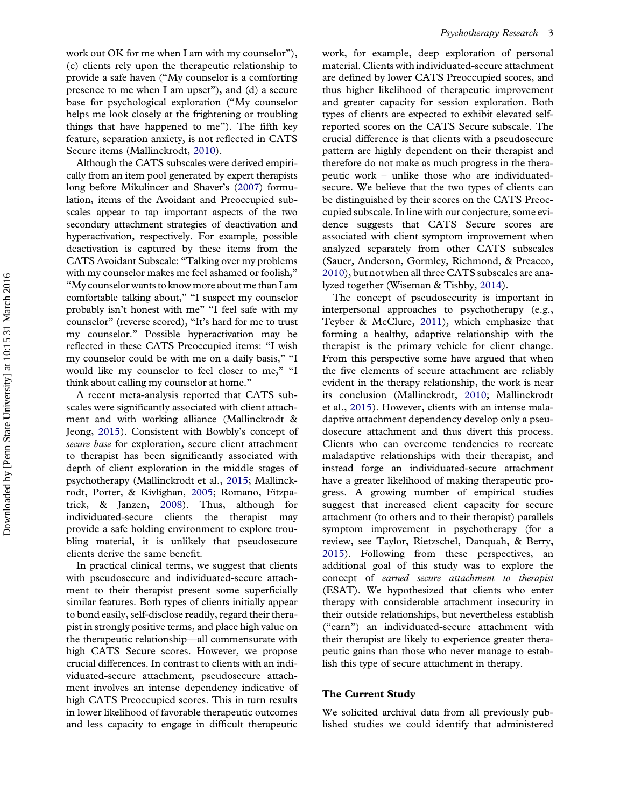<span id="page-3-0"></span>work out OK for me when I am with my counselor"), (c) clients rely upon the therapeutic relationship to provide a safe haven ("My counselor is a comforting presence to me when I am upset"), and (d) a secure base for psychological exploration ("My counselor helps me look closely at the frightening or troubling things that have happened to me"). The fifth key feature, separation anxiety, is not reflected in CATS Secure items (Mallinckrodt, [2010\)](#page-14-0).

Although the CATS subscales were derived empirically from an item pool generated by expert therapists long before Mikulincer and Shaver's ([2007\)](#page-14-0) formulation, items of the Avoidant and Preoccupied subscales appear to tap important aspects of the two secondary attachment strategies of deactivation and hyperactivation, respectively. For example, possible deactivation is captured by these items from the CATS Avoidant Subscale: "Talking over my problems with my counselor makes me feel ashamed or foolish," "My counselor wants to know more about me than I am comfortable talking about," "I suspect my counselor probably isn't honest with me" "I feel safe with my counselor" (reverse scored), "It's hard for me to trust my counselor." Possible hyperactivation may be reflected in these CATS Preoccupied items: "I wish my counselor could be with me on a daily basis," "I would like my counselor to feel closer to me," "I think about calling my counselor at home."

A recent meta-analysis reported that CATS subscales were significantly associated with client attachment and with working alliance (Mallinckrodt & Jeong, [2015](#page-14-0)). Consistent with Bowbly's concept of secure base for exploration, secure client attachment to therapist has been significantly associated with depth of client exploration in the middle stages of psychotherapy (Mallinckrodt et al., [2015](#page-14-0); Mallinckrodt, Porter, & Kivlighan, [2005](#page-14-0); Romano, Fitzpatrick, & Janzen, [2008](#page-14-0)). Thus, although for individuated-secure clients the therapist may provide a safe holding environment to explore troubling material, it is unlikely that pseudosecure clients derive the same benefit.

In practical clinical terms, we suggest that clients with pseudosecure and individuated-secure attachment to their therapist present some superficially similar features. Both types of clients initially appear to bond easily, self-disclose readily, regard their therapist in strongly positive terms, and place high value on the therapeutic relationship—all commensurate with high CATS Secure scores. However, we propose crucial differences. In contrast to clients with an individuated-secure attachment, pseudosecure attachment involves an intense dependency indicative of high CATS Preoccupied scores. This in turn results in lower likelihood of favorable therapeutic outcomes and less capacity to engage in difficult therapeutic

work, for example, deep exploration of personal material. Clients with individuated-secure attachment are defined by lower CATS Preoccupied scores, and thus higher likelihood of therapeutic improvement and greater capacity for session exploration. Both types of clients are expected to exhibit elevated selfreported scores on the CATS Secure subscale. The crucial difference is that clients with a pseudosecure pattern are highly dependent on their therapist and therefore do not make as much progress in the therapeutic work – unlike those who are individuatedsecure. We believe that the two types of clients can be distinguished by their scores on the CATS Preoccupied subscale. In line with our conjecture, some evidence suggests that CATS Secure scores are associated with client symptom improvement when analyzed separately from other CATS subscales (Sauer, Anderson, Gormley, Richmond, & Preacco, [2010\)](#page-14-0), but not when all three CATS subscales are analyzed together (Wiseman & Tishby, [2014](#page-15-0)).

The concept of pseudosecurity is important in interpersonal approaches to psychotherapy (e.g., Teyber & McClure, [2011\)](#page-15-0), which emphasize that forming a healthy, adaptive relationship with the therapist is the primary vehicle for client change. From this perspective some have argued that when the five elements of secure attachment are reliably evident in the therapy relationship, the work is near its conclusion (Mallinckrodt, [2010](#page-14-0); Mallinckrodt et al., [2015\)](#page-14-0). However, clients with an intense maladaptive attachment dependency develop only a pseudosecure attachment and thus divert this process. Clients who can overcome tendencies to recreate maladaptive relationships with their therapist, and instead forge an individuated-secure attachment have a greater likelihood of making therapeutic progress. A growing number of empirical studies suggest that increased client capacity for secure attachment (to others and to their therapist) parallels symptom improvement in psychotherapy (for a review, see Taylor, Rietzschel, Danquah, & Berry, [2015\)](#page-14-0). Following from these perspectives, an additional goal of this study was to explore the concept of earned secure attachment to therapist (ESAT). We hypothesized that clients who enter therapy with considerable attachment insecurity in their outside relationships, but nevertheless establish ("earn") an individuated-secure attachment with their therapist are likely to experience greater therapeutic gains than those who never manage to establish this type of secure attachment in therapy.

### The Current Study

We solicited archival data from all previously published studies we could identify that administered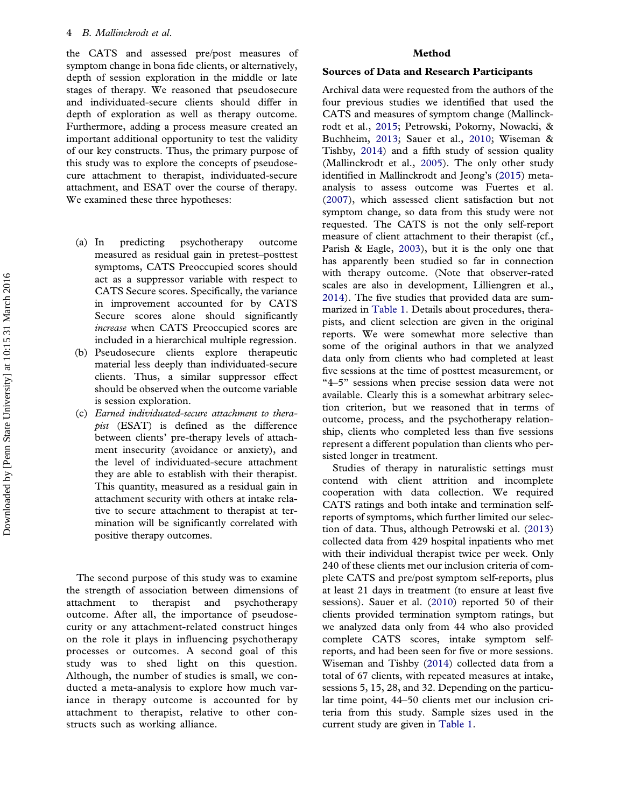<span id="page-4-0"></span>the CATS and assessed pre/post measures of symptom change in bona fide clients, or alternatively, depth of session exploration in the middle or late stages of therapy. We reasoned that pseudosecure and individuated-secure clients should differ in depth of exploration as well as therapy outcome. Furthermore, adding a process measure created an important additional opportunity to test the validity of our key constructs. Thus, the primary purpose of this study was to explore the concepts of pseudosecure attachment to therapist, individuated-secure attachment, and ESAT over the course of therapy. We examined these three hypotheses:

- (a) In predicting psychotherapy outcome measured as residual gain in pretest–posttest symptoms, CATS Preoccupied scores should act as a suppressor variable with respect to CATS Secure scores. Specifically, the variance in improvement accounted for by CATS Secure scores alone should significantly increase when CATS Preoccupied scores are included in a hierarchical multiple regression.
- (b) Pseudosecure clients explore therapeutic material less deeply than individuated-secure clients. Thus, a similar suppressor effect should be observed when the outcome variable is session exploration.
- (c) Earned individuated-secure attachment to therapist (ESAT) is defined as the difference between clients' pre-therapy levels of attachment insecurity (avoidance or anxiety), and the level of individuated-secure attachment they are able to establish with their therapist. This quantity, measured as a residual gain in attachment security with others at intake relative to secure attachment to therapist at termination will be significantly correlated with positive therapy outcomes.

The second purpose of this study was to examine the strength of association between dimensions of attachment to therapist and psychotherapy outcome. After all, the importance of pseudosecurity or any attachment-related construct hinges on the role it plays in influencing psychotherapy processes or outcomes. A second goal of this study was to shed light on this question. Although, the number of studies is small, we conducted a meta-analysis to explore how much variance in therapy outcome is accounted for by attachment to therapist, relative to other constructs such as working alliance.

### Method

### Sources of Data and Research Participants

Archival data were requested from the authors of the four previous studies we identified that used the CATS and measures of symptom change (Mallinckrodt et al., [2015;](#page-14-0) Petrowski, Pokorny, Nowacki, & Buchheim, [2013](#page-14-0); Sauer et al., [2010;](#page-14-0) Wiseman & Tishby, [2014](#page-15-0)) and a fifth study of session quality (Mallinckrodt et al., [2005](#page-14-0)). The only other study identified in Mallinckrodt and Jeong's ([2015](#page-14-0)) metaanalysis to assess outcome was Fuertes et al. ([2007](#page-13-0)), which assessed client satisfaction but not symptom change, so data from this study were not requested. The CATS is not the only self-report measure of client attachment to their therapist (cf., Parish & Eagle, [2003\)](#page-14-0), but it is the only one that has apparently been studied so far in connection with therapy outcome. (Note that observer-rated scales are also in development, Lilliengren et al., [2014\)](#page-14-0). The five studies that provided data are summarized in [Table 1.](#page-5-0) Details about procedures, therapists, and client selection are given in the original reports. We were somewhat more selective than some of the original authors in that we analyzed data only from clients who had completed at least five sessions at the time of posttest measurement, or "4–5" sessions when precise session data were not available. Clearly this is a somewhat arbitrary selection criterion, but we reasoned that in terms of outcome, process, and the psychotherapy relationship, clients who completed less than five sessions represent a different population than clients who persisted longer in treatment.

Studies of therapy in naturalistic settings must contend with client attrition and incomplete cooperation with data collection. We required CATS ratings and both intake and termination selfreports of symptoms, which further limited our selection of data. Thus, although Petrowski et al. ([2013\)](#page-14-0) collected data from 429 hospital inpatients who met with their individual therapist twice per week. Only 240 of these clients met our inclusion criteria of complete CATS and pre/post symptom self-reports, plus at least 21 days in treatment (to ensure at least five sessions). Sauer et al. ([2010](#page-14-0)) reported 50 of their clients provided termination symptom ratings, but we analyzed data only from 44 who also provided complete CATS scores, intake symptom selfreports, and had been seen for five or more sessions. Wiseman and Tishby ([2014](#page-15-0)) collected data from a total of 67 clients, with repeated measures at intake, sessions 5, 15, 28, and 32. Depending on the particular time point, 44–50 clients met our inclusion criteria from this study. Sample sizes used in the current study are given in [Table 1.](#page-5-0)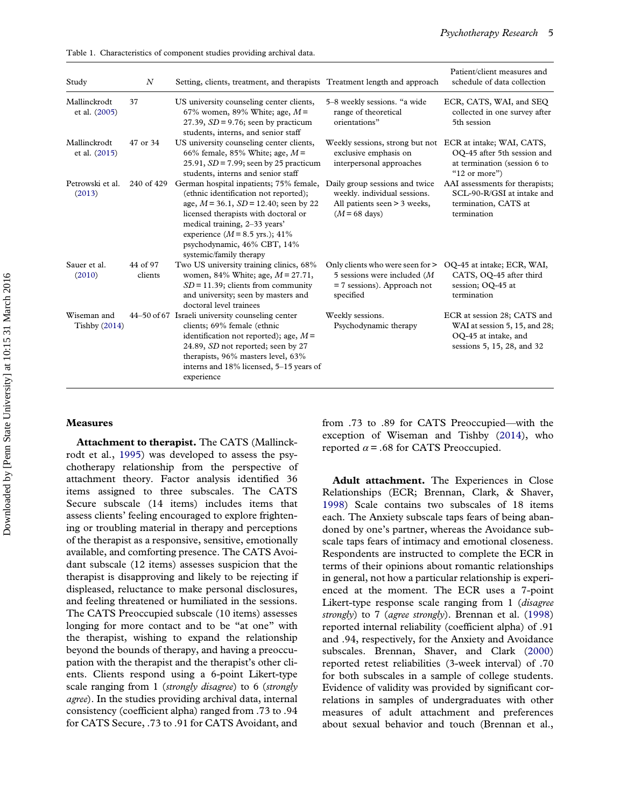<span id="page-5-0"></span>Table 1. Characteristics of component studies providing archival data.

| Study                          | $\boldsymbol{N}$    | Setting, clients, treatment, and therapists Treatment length and approach                                                                                                                                                                                                                              |                                                                                                                   | Patient/client measures and<br>schedule of data collection                                                         |
|--------------------------------|---------------------|--------------------------------------------------------------------------------------------------------------------------------------------------------------------------------------------------------------------------------------------------------------------------------------------------------|-------------------------------------------------------------------------------------------------------------------|--------------------------------------------------------------------------------------------------------------------|
| Mallinckrodt<br>et al. (2005)  | 37                  | US university counseling center clients,<br>67% women, 89% White; age, $M =$<br>27.39, $SD = 9.76$ ; seen by practicum<br>students, interns, and senior staff                                                                                                                                          | 5-8 weekly sessions. "a wide<br>range of theoretical<br>orientations"                                             | ECR, CATS, WAI, and SEO<br>collected in one survey after<br>5th session                                            |
| Mallinckrodt<br>et al. (2015)  | 47 or 34            | US university counseling center clients,<br>66% female, 85% White; age, $M =$<br>25.91, $SD = 7.99$ ; seen by 25 practicum<br>students, interns and senior staff                                                                                                                                       | Weekly sessions, strong but not ECR at intake; WAI, CATS,<br>exclusive emphasis on<br>interpersonal approaches    | OQ-45 after 5th session and<br>at termination (session 6 to<br>" $12$ or more")                                    |
| Petrowski et al.<br>(2013)     | 240 of 429          | German hospital inpatients; 75% female,<br>(ethnic identification not reported);<br>age, $M = 36.1$ , $SD = 12.40$ ; seen by 22<br>licensed therapists with doctoral or<br>medical training, 2-33 years'<br>experience $(M = 8.5$ yrs.); 41%<br>psychodynamic, 46% CBT, 14%<br>systemic/family therapy | Daily group sessions and twice<br>weekly. individual sessions.<br>All patients seen > 3 weeks,<br>$(M = 68$ days) | AAI assessments for therapists;<br>SCL-90-R/GSI at intake and<br>termination, CATS at<br>termination               |
| Sauer et al.<br>(2010)         | 44 of 97<br>clients | Two US university training clinics, 68%<br>women, 84% White; age, $M = 27.71$ ,<br>$SD = 11.39$ ; clients from community<br>and university; seen by masters and<br>doctoral level trainees                                                                                                             | Only clients who were seen for ><br>5 sessions were included (M<br>$= 7$ sessions). Approach not<br>specified     | OO-45 at intake; ECR, WAI,<br>CATS, OQ-45 after third<br>session; OO-45 at<br>termination                          |
| Wiseman and<br>Tishby $(2014)$ |                     | 44–50 of 67 Israeli university counseling center<br>clients; 69% female (ethnic<br>identification not reported); age, $M =$<br>24.89, SD not reported; seen by 27<br>therapists, 96% masters level, 63%<br>interns and 18% licensed, 5-15 years of<br>experience                                       | Weekly sessions.<br>Psychodynamic therapy                                                                         | ECR at session 28; CATS and<br>WAI at session 5, 15, and 28;<br>OQ-45 at intake, and<br>sessions 5, 15, 28, and 32 |

### Measures

Attachment to therapist. The CATS (Mallinckrodt et al., [1995\)](#page-14-0) was developed to assess the psychotherapy relationship from the perspective of attachment theory. Factor analysis identified 36 items assigned to three subscales. The CATS Secure subscale (14 items) includes items that assess clients' feeling encouraged to explore frightening or troubling material in therapy and perceptions of the therapist as a responsive, sensitive, emotionally available, and comforting presence. The CATS Avoidant subscale (12 items) assesses suspicion that the therapist is disapproving and likely to be rejecting if displeased, reluctance to make personal disclosures, and feeling threatened or humiliated in the sessions. The CATS Preoccupied subscale (10 items) assesses longing for more contact and to be "at one" with the therapist, wishing to expand the relationship beyond the bounds of therapy, and having a preoccupation with the therapist and the therapist's other clients. Clients respond using a 6-point Likert-type scale ranging from 1 (strongly disagree) to 6 (strongly agree). In the studies providing archival data, internal consistency (coefficient alpha) ranged from .73 to .94 for CATS Secure, .73 to .91 for CATS Avoidant, and

from .73 to .89 for CATS Preoccupied—with the exception of Wiseman and Tishby [\(2014\)](#page-15-0), who reported  $\alpha$  = .68 for CATS Preoccupied.

Adult attachment. The Experiences in Close Relationships (ECR; Brennan, Clark, & Shaver, [1998\)](#page-13-0) Scale contains two subscales of 18 items each. The Anxiety subscale taps fears of being abandoned by one's partner, whereas the Avoidance subscale taps fears of intimacy and emotional closeness. Respondents are instructed to complete the ECR in terms of their opinions about romantic relationships in general, not how a particular relationship is experienced at the moment. The ECR uses a 7-point Likert-type response scale ranging from 1 (*disagree* strongly) to 7 (agree strongly). Brennan et al. ([1998\)](#page-13-0) reported internal reliability (coefficient alpha) of .91 and .94, respectively, for the Anxiety and Avoidance subscales. Brennan, Shaver, and Clark ([2000\)](#page-13-0) reported retest reliabilities (3-week interval) of .70 for both subscales in a sample of college students. Evidence of validity was provided by significant correlations in samples of undergraduates with other measures of adult attachment and preferences about sexual behavior and touch (Brennan et al.,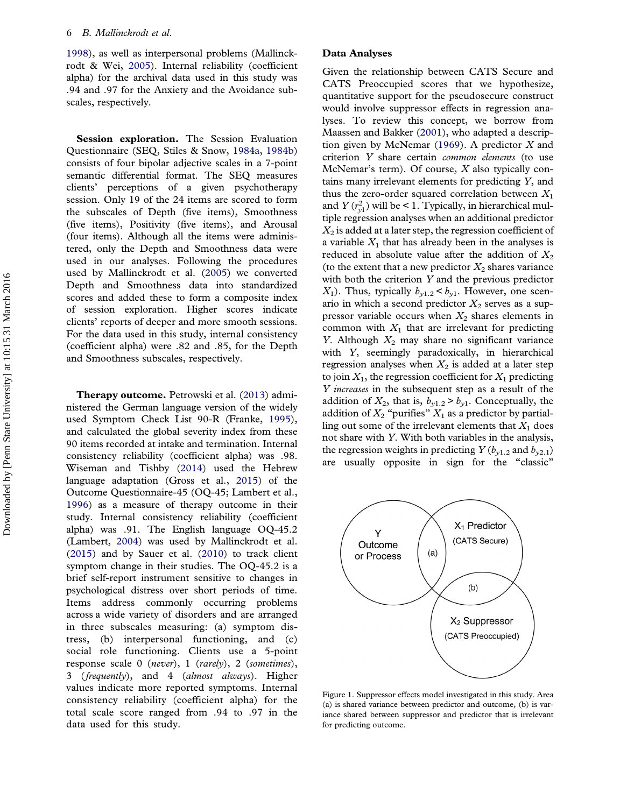<span id="page-6-0"></span>[1998\)](#page-13-0), as well as interpersonal problems (Mallinckrodt & Wei, [2005\)](#page-14-0). Internal reliability (coefficient alpha) for the archival data used in this study was .94 and .97 for the Anxiety and the Avoidance subscales, respectively.

Session exploration. The Session Evaluation Questionnaire (SEQ, Stiles & Snow, [1984a](#page-14-0), [1984b\)](#page-14-0) consists of four bipolar adjective scales in a 7-point semantic differential format. The SEQ measures clients' perceptions of a given psychotherapy session. Only 19 of the 24 items are scored to form the subscales of Depth (five items), Smoothness (five items), Positivity (five items), and Arousal (four items). Although all the items were administered, only the Depth and Smoothness data were used in our analyses. Following the procedures used by Mallinckrodt et al. ([2005](#page-14-0)) we converted Depth and Smoothness data into standardized scores and added these to form a composite index of session exploration. Higher scores indicate clients' reports of deeper and more smooth sessions. For the data used in this study, internal consistency (coefficient alpha) were .82 and .85, for the Depth and Smoothness subscales, respectively.

Therapy outcome. Petrowski et al. ([2013\)](#page-14-0) administered the German language version of the widely used Symptom Check List 90-R (Franke, [1995\)](#page-13-0), and calculated the global severity index from these 90 items recorded at intake and termination. Internal consistency reliability (coefficient alpha) was .98. Wiseman and Tishby [\(2014](#page-15-0)) used the Hebrew language adaptation (Gross et al., [2015\)](#page-13-0) of the Outcome Questionnaire-45 (OQ-45; Lambert et al., [1996\)](#page-13-0) as a measure of therapy outcome in their study. Internal consistency reliability (coefficient alpha) was .91. The English language OQ-45.2 (Lambert, [2004](#page-13-0)) was used by Mallinckrodt et al. ([2015\)](#page-14-0) and by Sauer et al. [\(2010\)](#page-14-0) to track client symptom change in their studies. The OQ-45.2 is a brief self-report instrument sensitive to changes in psychological distress over short periods of time. Items address commonly occurring problems across a wide variety of disorders and are arranged in three subscales measuring: (a) symptom distress, (b) interpersonal functioning, and (c) social role functioning. Clients use a 5-point response scale 0 (never), 1 (rarely), 2 (sometimes), 3 (frequently), and 4 (almost always). Higher values indicate more reported symptoms. Internal consistency reliability (coefficient alpha) for the total scale score ranged from .94 to .97 in the data used for this study.

### Data Analyses

Given the relationship between CATS Secure and CATS Preoccupied scores that we hypothesize, quantitative support for the pseudosecure construct would involve suppressor effects in regression analyses. To review this concept, we borrow from Maassen and Bakker ([2001\)](#page-14-0), who adapted a description given by McNemar  $(1969)$  $(1969)$  $(1969)$ . A predictor X and criterion Y share certain common elements (to use McNemar's term). Of course,  $X$  also typically contains many irrelevant elements for predicting Y, and thus the zero-order squared correlation between  $X_1$ and  $Y(r_{y1}^2)$  will be < 1. Typically, in hierarchical multiple regression analyses when an additional predictor  $X_2$  is added at a later step, the regression coefficient of a variable  $X_1$  that has already been in the analyses is reduced in absolute value after the addition of  $X_2$ (to the extent that a new predictor  $X_2$  shares variance with both the criterion Y and the previous predictor  $X_1$ ). Thus, typically  $b_{y1.2} < b_{y1}$ . However, one scenario in which a second predictor  $X_2$  serves as a suppressor variable occurs when  $X_2$  shares elements in common with  $X_1$  that are irrelevant for predicting Y. Although  $X_2$  may share no significant variance with Y, seemingly paradoxically, in hierarchical regression analyses when  $X_2$  is added at a later step to join  $X_1$ , the regression coefficient for  $X_1$  predicting Y increases in the subsequent step as a result of the addition of  $X_2$ , that is,  $b_{y1.2} > b_{y1}$ . Conceptually, the addition of  $X_2$  "purifies"  $X_1$  as a predictor by partialling out some of the irrelevant elements that  $X_1$  does not share with Y. With both variables in the analysis, the regression weights in predicting  $Y(b_{v1.2}$  and  $b_{v2.1})$ are usually opposite in sign for the "classic"



Figure 1. Suppressor effects model investigated in this study. Area (a) is shared variance between predictor and outcome, (b) is variance shared between suppressor and predictor that is irrelevant for predicting outcome.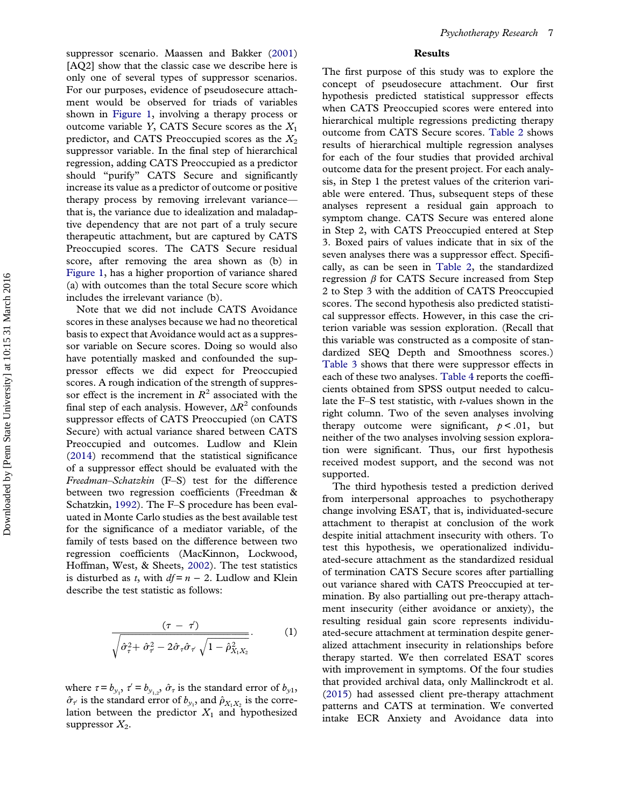<span id="page-7-0"></span>suppressor scenario. Maassen and Bakker [\(2001\)](#page-14-0) [AQ2] show that the classic case we describe here is only one of several types of suppressor scenarios. For our purposes, evidence of pseudosecure attachment would be observed for triads of variables shown in [Figure 1](#page-6-0), involving a therapy process or outcome variable Y, CATS Secure scores as the  $X_1$ predictor, and CATS Preoccupied scores as the  $X_2$ suppressor variable. In the final step of hierarchical regression, adding CATS Preoccupied as a predictor should "purify" CATS Secure and significantly increase its value as a predictor of outcome or positive therapy process by removing irrelevant variance that is, the variance due to idealization and maladaptive dependency that are not part of a truly secure therapeutic attachment, but are captured by CATS Preoccupied scores. The CATS Secure residual score, after removing the area shown as (b) in [Figure 1](#page-6-0), has a higher proportion of variance shared (a) with outcomes than the total Secure score which includes the irrelevant variance (b).

Note that we did not include CATS Avoidance scores in these analyses because we had no theoretical basis to expect that Avoidance would act as a suppressor variable on Secure scores. Doing so would also have potentially masked and confounded the suppressor effects we did expect for Preoccupied scores. A rough indication of the strength of suppressor effect is the increment in  $R^2$  associated with the final step of each analysis. However,  $\Delta R^2$  confounds suppressor effects of CATS Preoccupied (on CATS Secure) with actual variance shared between CATS Preoccupied and outcomes. Ludlow and Klein ([2014\)](#page-14-0) recommend that the statistical significance of a suppressor effect should be evaluated with the Freedman–Schatzkin (F–S) test for the difference between two regression coefficients (Freedman & Schatzkin, [1992](#page-13-0)). The F–S procedure has been evaluated in Monte Carlo studies as the best available test for the significance of a mediator variable, of the family of tests based on the difference between two regression coefficients (MacKinnon, Lockwood, Hoffman, West, & Sheets, [2002](#page-14-0)). The test statistics is disturbed as t, with  $df = n - 2$ . Ludlow and Klein describe the test statistic as follows:

$$
\frac{(\tau - \tau')}{\sqrt{\hat{\sigma}_{\tau}^2 + \hat{\sigma}_{\tau}^2 - 2\hat{\sigma}_{\tau}\hat{\sigma}_{\tau}\sqrt{1 - \hat{\rho}_{X_1X_2}^2}}}. \tag{1}
$$

where  $\tau = b_{y_1}$ ,  $\tau' = b_{y_{1,2}}$ ,  $\hat{\sigma}_{\tau}$  is the standard error of  $b_{y_1}$ ,  $\hat{\sigma}_{\tau'}$  is the standard error of  $b_{y_1}$ , and  $\hat{\rho}_{X_1X_2}$  is the correlation between the predictor  $X_1$  and hypothesized suppressor  $X_2$ .

### Results

The first purpose of this study was to explore the concept of pseudosecure attachment. Our first hypothesis predicted statistical suppressor effects when CATS Preoccupied scores were entered into hierarchical multiple regressions predicting therapy outcome from CATS Secure scores. [Table 2](#page-8-0) shows results of hierarchical multiple regression analyses for each of the four studies that provided archival outcome data for the present project. For each analysis, in Step 1 the pretest values of the criterion variable were entered. Thus, subsequent steps of these analyses represent a residual gain approach to symptom change. CATS Secure was entered alone in Step 2, with CATS Preoccupied entered at Step 3. Boxed pairs of values indicate that in six of the seven analyses there was a suppressor effect. Specifically, as can be seen in [Table 2,](#page-8-0) the standardized regression  $β$  for CATS Secure increased from Step 2 to Step 3 with the addition of CATS Preoccupied scores. The second hypothesis also predicted statistical suppressor effects. However, in this case the criterion variable was session exploration. (Recall that this variable was constructed as a composite of standardized SEQ Depth and Smoothness scores.) [Table 3](#page-8-0) shows that there were suppressor effects in each of these two analyses. [Table 4](#page-9-0) reports the coefficients obtained from SPSS output needed to calculate the F–S test statistic, with  $t$ -values shown in the right column. Two of the seven analyses involving therapy outcome were significant,  $p < .01$ , but neither of the two analyses involving session exploration were significant. Thus, our first hypothesis received modest support, and the second was not supported.

The third hypothesis tested a prediction derived from interpersonal approaches to psychotherapy change involving ESAT, that is, individuated-secure attachment to therapist at conclusion of the work despite initial attachment insecurity with others. To test this hypothesis, we operationalized individuated-secure attachment as the standardized residual of termination CATS Secure scores after partialling out variance shared with CATS Preoccupied at termination. By also partialling out pre-therapy attachment insecurity (either avoidance or anxiety), the resulting residual gain score represents individuated-secure attachment at termination despite generalized attachment insecurity in relationships before therapy started. We then correlated ESAT scores with improvement in symptoms. Of the four studies that provided archival data, only Mallinckrodt et al. ([2015](#page-14-0)) had assessed client pre-therapy attachment patterns and CATS at termination. We converted intake ECR Anxiety and Avoidance data into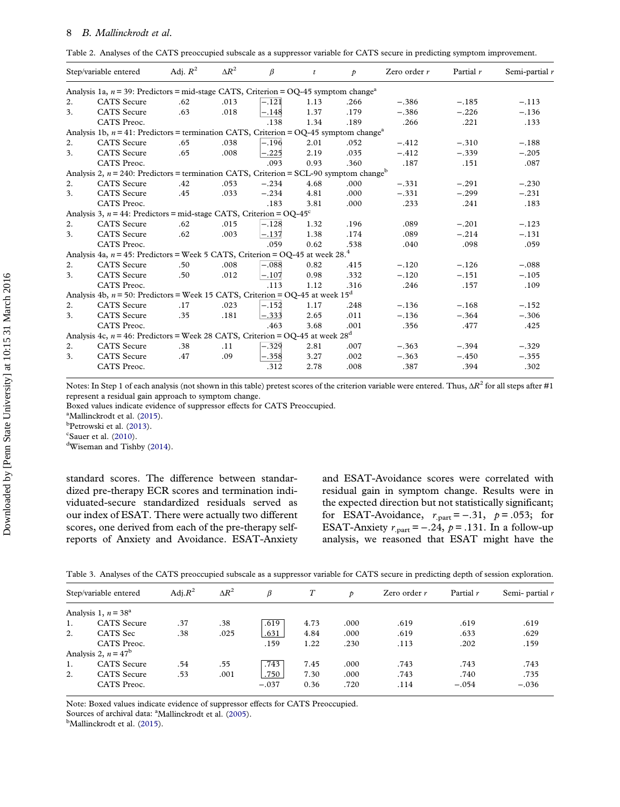<span id="page-8-0"></span>

|  | Table 2. Analyses of the CATS preoccupied subscale as a suppressor variable for CATS secure in predicting symptom improvement. |  |  |
|--|--------------------------------------------------------------------------------------------------------------------------------|--|--|
|  |                                                                                                                                |  |  |

|    | Step/variable entered                                                                                 | Adj. $R^2$ | $\Delta R^2$ | $\beta$ | $\mathfrak{r}$ | $\mathcal{P}$ | Zero order $r$ | Partial r | Semi-partial r |
|----|-------------------------------------------------------------------------------------------------------|------------|--------------|---------|----------------|---------------|----------------|-----------|----------------|
|    | Analysis 1a, $n = 39$ : Predictors = mid-stage CATS, Criterion = OQ-45 symptom change <sup>a</sup>    |            |              |         |                |               |                |           |                |
| 2. | <b>CATS</b> Secure                                                                                    | .62        | .013         | $-.121$ | 1.13           | .266          | $-.386$        | $-.185$   | $-.113$        |
| 3. | <b>CATS</b> Secure                                                                                    | .63        | .018         | $-.148$ | 1.37           | .179          | $-.386$        | $-.226$   | $-.136$        |
|    | CATS Preoc.                                                                                           |            |              | .138    | 1.34           | .189          | .266           | .221      | .133           |
|    | Analysis 1b, $n = 41$ : Predictors = termination CATS, Criterion = OQ-45 symptom change <sup>a</sup>  |            |              |         |                |               |                |           |                |
| 2. | <b>CATS</b> Secure                                                                                    | .65        | .038         | $-.196$ | 2.01           | .052          | $-.412$        | $-.310$   | $-.188$        |
| 3. | <b>CATS</b> Secure                                                                                    | .65        | .008         | -.225   | 2.19           | .035          | $-.412$        | $-.339$   | $-.205$        |
|    | CATS Preoc.                                                                                           |            |              | .093    | 0.93           | .360          | .187           | .151      | .087           |
|    | Analysis 2, $n = 240$ : Predictors = termination CATS, Criterion = SCL-90 symptom change <sup>b</sup> |            |              |         |                |               |                |           |                |
| 2. | <b>CATS</b> Secure                                                                                    | .42        | .053         | $-.234$ | 4.68           | .000          | $-.331$        | $-.291$   | $-.230$        |
| 3. | <b>CATS</b> Secure                                                                                    | .45        | .033         | $-.234$ | 4.81           | .000          | $-.331$        | $-.299$   | $-.231$        |
|    | CATS Preoc.                                                                                           |            |              | .183    | 3.81           | .000          | .233           | .241      | .183           |
|    | Analysis 3, $n = 44$ : Predictors = mid-stage CATS, Criterion = OQ-45°                                |            |              |         |                |               |                |           |                |
| 2. | <b>CATS</b> Secure                                                                                    | .62        | .015         | $-.128$ | 1.32           | .196          | .089           | $-.201$   | $-.123$        |
| 3. | <b>CATS</b> Secure                                                                                    | .62        | .003         | $-.137$ | 1.38           | .174          | .089           | $-.214$   | $-.131$        |
|    | CATS Preoc.                                                                                           |            |              | .059    | 0.62           | .538          | .040           | .098      | .059           |
|    | Analysis 4a, $n = 45$ : Predictors = Week 5 CATS, Criterion = OQ-45 at week 28. <sup>4</sup>          |            |              |         |                |               |                |           |                |
| 2. | <b>CATS</b> Secure                                                                                    | .50        | .008         | $-.088$ | 0.82           | .415          | $-.120$        | $-.126$   | $-.088$        |
| 3. | <b>CATS</b> Secure                                                                                    | .50        | .012         | $-.107$ | 0.98           | .332          | $-.120$        | $-.151$   | $-.105$        |
|    | CATS Preoc.                                                                                           |            |              | .113    | 1.12           | .316          | .246           | .157      | .109           |
|    | Analysis 4b, $n = 50$ : Predictors = Week 15 CATS, Criterion = OQ-45 at week $15d$                    |            |              |         |                |               |                |           |                |
| 2. | <b>CATS</b> Secure                                                                                    | .17        | .023         | $-.152$ | 1.17           | .248          | $-.136$        | $-.168$   | $-.152$        |
| 3. | <b>CATS</b> Secure                                                                                    | .35        | .181         | $-.333$ | 2.65           | .011          | $-.136$        | $-.364$   | $-.306$        |
|    | CATS Preoc.                                                                                           |            |              | .463    | 3.68           | .001          | .356           | .477      | .425           |
|    | Analysis 4c, $n = 46$ : Predictors = Week 28 CATS, Criterion = OQ-45 at week $28d$                    |            |              |         |                |               |                |           |                |
| 2. | <b>CATS</b> Secure                                                                                    | .38        | .11          | $-.329$ | 2.81           | .007          | $-.363$        | $-.394$   | $-.329$        |
| 3. | <b>CATS</b> Secure                                                                                    | .47        | .09          | -.358   | 3.27           | .002          | $-.363$        | $-.450$   | $-.355$        |
|    | CATS Preoc.                                                                                           |            |              | .312    | 2.78           | .008          | .387           | .394      | .302           |

Notes: In Step 1 of each analysis (not shown in this table) pretest scores of the criterion variable were entered. Thus,  $\Delta R^2$  for all steps after #1 represent a residual gain approach to symptom change.

Boxed values indicate evidence of suppressor effects for CATS Preoccupied.

<sup>a</sup>Mallinckrodt et al. ([2015\)](#page-14-0).

<sup>b</sup>Petrowski et al. ([2013](#page-14-0)).

 $\frac{c}{d}$ Sauer et al. [\(2010\)](#page-14-0).

Wiseman and Tishby ([2014](#page-15-0)).

standard scores. The difference between standardized pre-therapy ECR scores and termination individuated-secure standardized residuals served as our index of ESAT. There were actually two different scores, one derived from each of the pre-therapy selfreports of Anxiety and Avoidance. ESAT-Anxiety

and ESAT-Avoidance scores were correlated with residual gain in symptom change. Results were in the expected direction but not statistically significant; for ESAT-Avoidance,  $r_{part} = -.31$ ,  $p = .053$ ; for ESAT-Anxiety  $r_{\text{part}} = -.24$ ,  $p = .131$ . In a follow-up analysis, we reasoned that ESAT might have the

|  |  |  | Table 3. Analyses of the CATS preoccupied subscale as a suppressor variable for CATS secure in predicting depth of session exploration. |  |  |  |  |  |  |  |  |
|--|--|--|-----------------------------------------------------------------------------------------------------------------------------------------|--|--|--|--|--|--|--|--|
|--|--|--|-----------------------------------------------------------------------------------------------------------------------------------------|--|--|--|--|--|--|--|--|

|    | Step/variable entered  | Adj. $R^2$ | $\Delta R^2$ | ß       |      | Þ     | Zero order $r$ | Partial r | Semi- partial r |
|----|------------------------|------------|--------------|---------|------|-------|----------------|-----------|-----------------|
|    | Analysis 1, $n = 38^a$ |            |              |         |      |       |                |           |                 |
| 1. | <b>CATS</b> Secure     | .37        | .38          | .619    | 4.73 | .000  | .619           | .619      | .619            |
| 2. | <b>CATS</b> Sec        | .38        | .025         | .631    | 4.84 | .000  | .619           | .633      | .629            |
|    | CATS Preoc.            |            |              | .159    | 1.22 | .230  | .113           | .202      | .159            |
|    | Analysis 2, $n = 47^b$ |            |              |         |      |       |                |           |                 |
| 1. | <b>CATS</b> Secure     | .54        | .55          | .743    | 7.45 | .000. | .743           | .743      | .743            |
| 2. | <b>CATS</b> Secure     | .53        | .001         | .750    | 7.30 | .000. | .743           | .740      | .735            |
|    | CATS Preoc.            |            |              | $-.037$ | 0.36 | .720  | .114           | $-.054$   | $-.036$         |

Note: Boxed values indicate evidence of suppressor effects for CATS Preoccupied.

Sources of archival data:  $^{\text{a}}$ Mallinckrodt et al. ([2005](#page-14-0)).

<sup>b</sup>Mallinckrodt et al. [\(2015](#page-14-0)).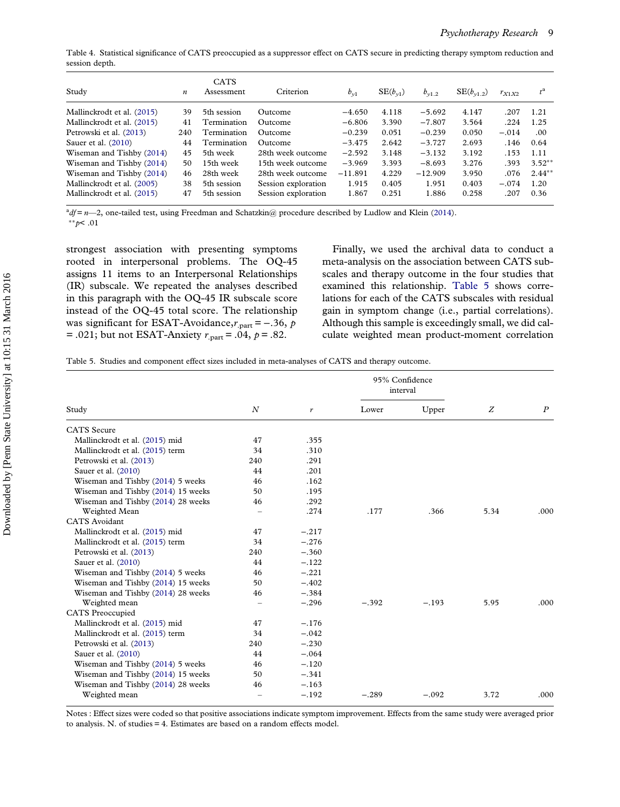<span id="page-9-0"></span>Table 4. Statistical significance of CATS preoccupied as a suppressor effect on CATS secure in predicting therapy symptom reduction and session depth.

| Study                      | $\boldsymbol{n}$ | <b>CATS</b><br>Assessment | Criterion           | $b_{\nu 1}$ | $SE(b_{\nu1})$ | $b_{v1,2}$ | $SE(b_{v1.2})$ | $r_{X1X2}$ | $t^{\rm a}$ |
|----------------------------|------------------|---------------------------|---------------------|-------------|----------------|------------|----------------|------------|-------------|
| Mallinckrodt et al. (2015) | 39               | 5th session               | Outcome             | $-4.650$    | 4.118          | $-5.692$   | 4.147          | .207       | 1.21        |
| Mallinckrodt et al. (2015) | 41               | Termination               | Outcome             | $-6.806$    | 3.390          | $-7.807$   | 3.564          | .224       | 1.25        |
| Petrowski et al. (2013)    | 240              | Termination               | Outcome             | $-0.239$    | 0.051          | $-0.239$   | 0.050          | $-.014$    | .00         |
| Sauer et al. (2010)        | 44               | Termination               | Outcome             | $-3.475$    | 2.642          | $-3.727$   | 2.693          | .146       | 0.64        |
| Wiseman and Tishby (2014)  | 45               | 5th week                  | 28th week outcome   | $-2.592$    | 3.148          | $-3.132$   | 3.192          | .153       | 1.11        |
| Wiseman and Tishby (2014)  | 50               | 15th week                 | 15th week outcome   | $-3.969$    | 3.393          | $-8.693$   | 3.276          | .393       | $3.52**$    |
| Wiseman and Tishby (2014)  | 46               | 28th week                 | 28th week outcome   | $-11.891$   | 4.229          | $-12.909$  | 3.950          | .076       | $2.44**$    |
| Mallinckrodt et al. (2005) | 38               | 5th session               | Session exploration | 1.915       | 0.405          | 1.951      | 0.403          | $-.074$    | 1.20        |
| Mallinckrodt et al. (2015) | 47               | 5th session               | Session exploration | 1.867       | 0.251          | 1.886      | 0.258          | .207       | 0.36        |

 $^{a}df = n-2$ , one-tailed test, using Freedman and Schatzkin@ procedure described by Ludlow and Klein ([2014\)](#page-14-0). ∗∗p< .01

strongest association with presenting symptoms rooted in interpersonal problems. The OQ-45 assigns 11 items to an Interpersonal Relationships (IR) subscale. We repeated the analyses described in this paragraph with the OQ-45 IR subscale score instead of the OQ-45 total score. The relationship was significant for ESAT-Avoidance, $r_{part} = -.36$ , p = .021; but not ESAT-Anxiety  $r_{part}$  = .04,  $p = .82$ .

Finally, we used the archival data to conduct a meta-analysis on the association between CATS subscales and therapy outcome in the four studies that examined this relationship. Table 5 shows correlations for each of the CATS subscales with residual gain in symptom change (i.e., partial correlations). Although this sample is exceedingly small, we did calculate weighted mean product-moment correlation

Table 5. Studies and component effect sizes included in meta-analyses of CATS and therapy outcome.

|                                    |                          |         |         | 95% Confidence<br>interval |      |                  |
|------------------------------------|--------------------------|---------|---------|----------------------------|------|------------------|
| Study                              | $_{N}$                   | r       | Lower   | Upper                      | Z    | $\boldsymbol{P}$ |
| <b>CATS</b> Secure                 |                          |         |         |                            |      |                  |
| Mallinckrodt et al. (2015) mid     | 47                       | .355    |         |                            |      |                  |
| Mallinckrodt et al. (2015) term    | 34                       | .310    |         |                            |      |                  |
| Petrowski et al. (2013)            | 240                      | .291    |         |                            |      |                  |
| Sauer et al. (2010)                | 44                       | .201    |         |                            |      |                  |
| Wiseman and Tishby (2014) 5 weeks  | 46                       | .162    |         |                            |      |                  |
| Wiseman and Tishby (2014) 15 weeks | 50                       | .195    |         |                            |      |                  |
| Wiseman and Tishby (2014) 28 weeks | 46                       | .292    |         |                            |      |                  |
| Weighted Mean                      |                          | .274    | .177    | .366                       | 5.34 | .000             |
| <b>CATS</b> Avoidant               |                          |         |         |                            |      |                  |
| Mallinckrodt et al. (2015) mid     | 47                       | $-.217$ |         |                            |      |                  |
| Mallinckrodt et al. (2015) term    | 34                       | $-.276$ |         |                            |      |                  |
| Petrowski et al. (2013)            | 240                      | $-.360$ |         |                            |      |                  |
| Sauer et al. (2010)                | 44                       | $-.122$ |         |                            |      |                  |
| Wiseman and Tishby (2014) 5 weeks  | 46                       | $-.221$ |         |                            |      |                  |
| Wiseman and Tishby (2014) 15 weeks | 50                       | $-.402$ |         |                            |      |                  |
| Wiseman and Tishby (2014) 28 weeks | 46                       | $-.384$ |         |                            |      |                  |
| Weighted mean                      |                          | $-.296$ | $-.392$ | $-.193$                    | 5.95 | .000             |
| <b>CATS</b> Preoccupied            |                          |         |         |                            |      |                  |
| Mallinckrodt et al. (2015) mid     | 47                       | $-.176$ |         |                            |      |                  |
| Mallinckrodt et al. (2015) term    | 34                       | $-.042$ |         |                            |      |                  |
| Petrowski et al. (2013)            | 240                      | $-.230$ |         |                            |      |                  |
| Sauer et al. (2010)                | 44                       | $-.064$ |         |                            |      |                  |
| Wiseman and Tishby (2014) 5 weeks  | 46                       | $-.120$ |         |                            |      |                  |
| Wiseman and Tishby (2014) 15 weeks | 50                       | $-.341$ |         |                            |      |                  |
| Wiseman and Tishby (2014) 28 weeks | 46                       | $-.163$ |         |                            |      |                  |
| Weighted mean                      | $\overline{\phantom{0}}$ | $-.192$ | $-.289$ | $-.092$                    | 3.72 | .000             |

Notes : Effect sizes were coded so that positive associations indicate symptom improvement. Effects from the same study were averaged prior to analysis. N. of studies = 4. Estimates are based on a random effects model.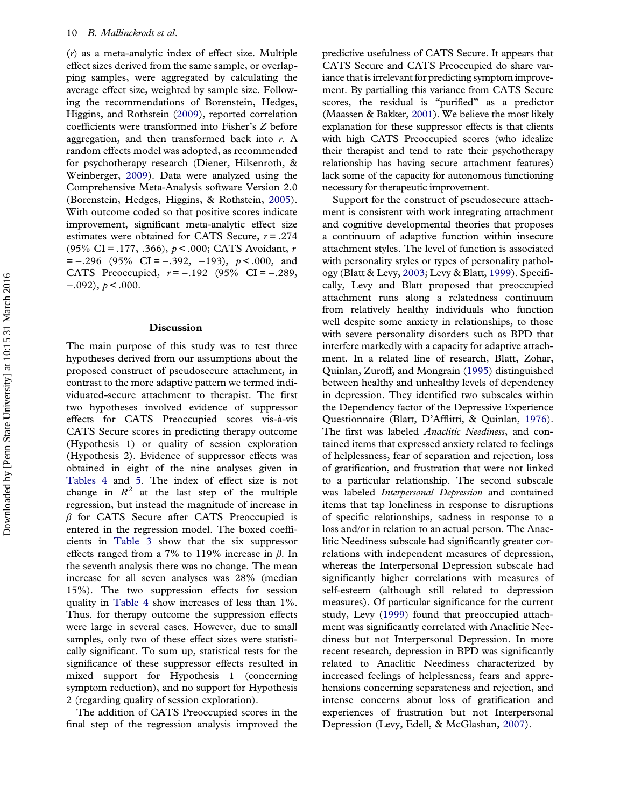<span id="page-10-0"></span>(r) as a meta-analytic index of effect size. Multiple effect sizes derived from the same sample, or overlapping samples, were aggregated by calculating the average effect size, weighted by sample size. Following the recommendations of Borenstein, Hedges, Higgins, and Rothstein ([2009](#page-13-0)), reported correlation coefficients were transformed into Fisher's Z before aggregation, and then transformed back into r. A random effects model was adopted, as recommended for psychotherapy research (Diener, Hilsenroth, & Weinberger, [2009](#page-13-0)). Data were analyzed using the Comprehensive Meta-Analysis software Version 2.0 (Borenstein, Hedges, Higgins, & Rothstein, [2005\)](#page-13-0). With outcome coded so that positive scores indicate improvement, significant meta-analytic effect size estimates were obtained for CATS Secure,  $r = .274$ (95% CI = .177, .366),  $p < .000$ ; CATS Avoidant, r  $= -.296$  (95% CI = -.392, -193),  $p < .000$ , and CATS Preoccupied,  $r = -.192$  (95% CI = -.289,  $-.092$ ),  $p < .000$ .

### Discussion

The main purpose of this study was to test three hypotheses derived from our assumptions about the proposed construct of pseudosecure attachment, in contrast to the more adaptive pattern we termed individuated-secure attachment to therapist. The first two hypotheses involved evidence of suppressor effects for CATS Preoccupied scores vis-à-vis CATS Secure scores in predicting therapy outcome (Hypothesis 1) or quality of session exploration (Hypothesis 2). Evidence of suppressor effects was obtained in eight of the nine analyses given in [Tables 4](#page-9-0) and [5.](#page-9-0) The index of effect size is not change in  $R^2$  at the last step of the multiple regression, but instead the magnitude of increase in  $\beta$  for CATS Secure after CATS Preoccupied is entered in the regression model. The boxed coefficients in [Table 3](#page-8-0) show that the six suppressor effects ranged from a 7% to 119% increase in  $\beta$ . In the seventh analysis there was no change. The mean increase for all seven analyses was 28% (median 15%). The two suppression effects for session quality in [Table 4](#page-9-0) show increases of less than 1%. Thus. for therapy outcome the suppression effects were large in several cases. However, due to small samples, only two of these effect sizes were statistically significant. To sum up, statistical tests for the significance of these suppressor effects resulted in mixed support for Hypothesis 1 (concerning symptom reduction), and no support for Hypothesis 2 (regarding quality of session exploration).

The addition of CATS Preoccupied scores in the final step of the regression analysis improved the predictive usefulness of CATS Secure. It appears that CATS Secure and CATS Preoccupied do share variance that is irrelevant for predicting symptom improvement. By partialling this variance from CATS Secure scores, the residual is "purified" as a predictor (Maassen & Bakker, [2001\)](#page-14-0). We believe the most likely explanation for these suppressor effects is that clients with high CATS Preoccupied scores (who idealize their therapist and tend to rate their psychotherapy relationship has having secure attachment features) lack some of the capacity for autonomous functioning necessary for therapeutic improvement.

Support for the construct of pseudosecure attachment is consistent with work integrating attachment and cognitive developmental theories that proposes a continuum of adaptive function within insecure attachment styles. The level of function is associated with personality styles or types of personality pathology (Blatt & Levy, [2003;](#page-13-0) Levy & Blatt, [1999\)](#page-14-0). Specifically, Levy and Blatt proposed that preoccupied attachment runs along a relatedness continuum from relatively healthy individuals who function well despite some anxiety in relationships, to those with severe personality disorders such as BPD that interfere markedly with a capacity for adaptive attachment. In a related line of research, Blatt, Zohar, Quinlan, Zuroff, and Mongrain ([1995\)](#page-13-0) distinguished between healthy and unhealthy levels of dependency in depression. They identified two subscales within the Dependency factor of the Depressive Experience Questionnaire (Blatt, D'Afflitti, & Quinlan, [1976\)](#page-13-0). The first was labeled *Anaclitic Neediness*, and contained items that expressed anxiety related to feelings of helplessness, fear of separation and rejection, loss of gratification, and frustration that were not linked to a particular relationship. The second subscale was labeled Interpersonal Depression and contained items that tap loneliness in response to disruptions of specific relationships, sadness in response to a loss and/or in relation to an actual person. The Anaclitic Neediness subscale had significantly greater correlations with independent measures of depression, whereas the Interpersonal Depression subscale had significantly higher correlations with measures of self-esteem (although still related to depression measures). Of particular significance for the current study, Levy [\(1999\)](#page-14-0) found that preoccupied attachment was significantly correlated with Anaclitic Neediness but not Interpersonal Depression. In more recent research, depression in BPD was significantly related to Anaclitic Neediness characterized by increased feelings of helplessness, fears and apprehensions concerning separateness and rejection, and intense concerns about loss of gratification and experiences of frustration but not Interpersonal Depression (Levy, Edell, & McGlashan, [2007](#page-14-0)).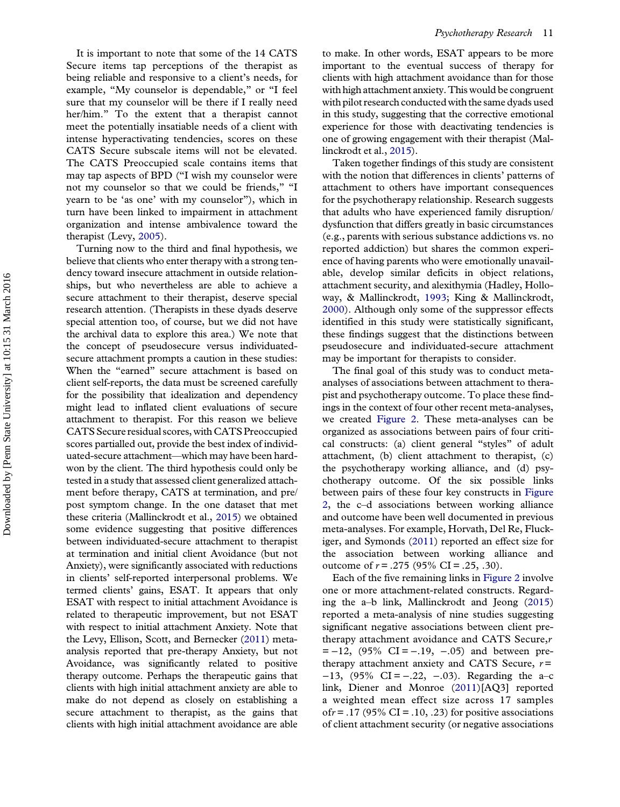<span id="page-11-0"></span>It is important to note that some of the 14 CATS Secure items tap perceptions of the therapist as being reliable and responsive to a client's needs, for example, "My counselor is dependable," or "I feel sure that my counselor will be there if I really need her/him." To the extent that a therapist cannot meet the potentially insatiable needs of a client with intense hyperactivating tendencies, scores on these CATS Secure subscale items will not be elevated. The CATS Preoccupied scale contains items that may tap aspects of BPD ("I wish my counselor were not my counselor so that we could be friends," "I yearn to be 'as one' with my counselor"), which in turn have been linked to impairment in attachment organization and intense ambivalence toward the therapist (Levy, [2005\)](#page-14-0).

Turning now to the third and final hypothesis, we believe that clients who enter therapy with a strong tendency toward insecure attachment in outside relationships, but who nevertheless are able to achieve a secure attachment to their therapist, deserve special research attention. (Therapists in these dyads deserve special attention too, of course, but we did not have the archival data to explore this area.) We note that the concept of pseudosecure versus individuatedsecure attachment prompts a caution in these studies: When the "earned" secure attachment is based on client self-reports, the data must be screened carefully for the possibility that idealization and dependency might lead to inflated client evaluations of secure attachment to therapist. For this reason we believe CATS Secure residual scores, with CATS Preoccupied scores partialled out, provide the best index of individuated-secure attachment—which may have been hardwon by the client. The third hypothesis could only be tested in a study that assessed client generalized attachment before therapy, CATS at termination, and pre/ post symptom change. In the one dataset that met these criteria (Mallinckrodt et al., [2015\)](#page-14-0) we obtained some evidence suggesting that positive differences between individuated-secure attachment to therapist at termination and initial client Avoidance (but not Anxiety), were significantly associated with reductions in clients' self-reported interpersonal problems. We termed clients' gains, ESAT. It appears that only ESAT with respect to initial attachment Avoidance is related to therapeutic improvement, but not ESAT with respect to initial attachment Anxiety. Note that the Levy, Ellison, Scott, and Bernecker ([2011](#page-14-0)) metaanalysis reported that pre-therapy Anxiety, but not Avoidance, was significantly related to positive therapy outcome. Perhaps the therapeutic gains that clients with high initial attachment anxiety are able to make do not depend as closely on establishing a secure attachment to therapist, as the gains that clients with high initial attachment avoidance are able

to make. In other words, ESAT appears to be more important to the eventual success of therapy for clients with high attachment avoidance than for those with high attachment anxiety. This would be congruent with pilot research conducted with the same dyads used in this study, suggesting that the corrective emotional experience for those with deactivating tendencies is one of growing engagement with their therapist (Mallinckrodt et al., [2015](#page-14-0)).

Taken together findings of this study are consistent with the notion that differences in clients' patterns of attachment to others have important consequences for the psychotherapy relationship. Research suggests that adults who have experienced family disruption/ dysfunction that differs greatly in basic circumstances (e.g., parents with serious substance addictions vs. no reported addiction) but shares the common experience of having parents who were emotionally unavailable, develop similar deficits in object relations, attachment security, and alexithymia (Hadley, Holloway, & Mallinckrodt, [1993](#page-13-0); King & Mallinckrodt, [2000\)](#page-13-0). Although only some of the suppressor effects identified in this study were statistically significant, these findings suggest that the distinctions between pseudosecure and individuated-secure attachment may be important for therapists to consider.

The final goal of this study was to conduct metaanalyses of associations between attachment to therapist and psychotherapy outcome. To place these findings in the context of four other recent meta-analyses, we created [Figure 2](#page-12-0). These meta-analyses can be organized as associations between pairs of four critical constructs: (a) client general "styles" of adult attachment, (b) client attachment to therapist, (c) the psychotherapy working alliance, and (d) psychotherapy outcome. Of the six possible links between pairs of these four key constructs in [Figure](#page-12-0) [2](#page-12-0), the c–d associations between working alliance and outcome have been well documented in previous meta-analyses. For example, Horvath, Del Re, Fluckiger, and Symonds [\(2011\)](#page-13-0) reported an effect size for the association between working alliance and outcome of  $r = .275$  (95% CI = .25, .30).

Each of the five remaining links in [Figure 2](#page-12-0) involve one or more attachment-related constructs. Regarding the a–b link, Mallinckrodt and Jeong ([2015\)](#page-14-0) reported a meta-analysis of nine studies suggesting significant negative associations between client pretherapy attachment avoidance and CATS Secure, $r$  $= -12$ , (95% CI = -.19, -.05) and between pretherapy attachment anxiety and CATS Secure,  $r =$ −13, (95% CI = −.22, −.03). Regarding the a–c link, Diener and Monroe [\(2011\)](#page-13-0)[AQ3] reported a weighted mean effect size across 17 samples ofr = .17 (95% CI = .10, .23) for positive associations of client attachment security (or negative associations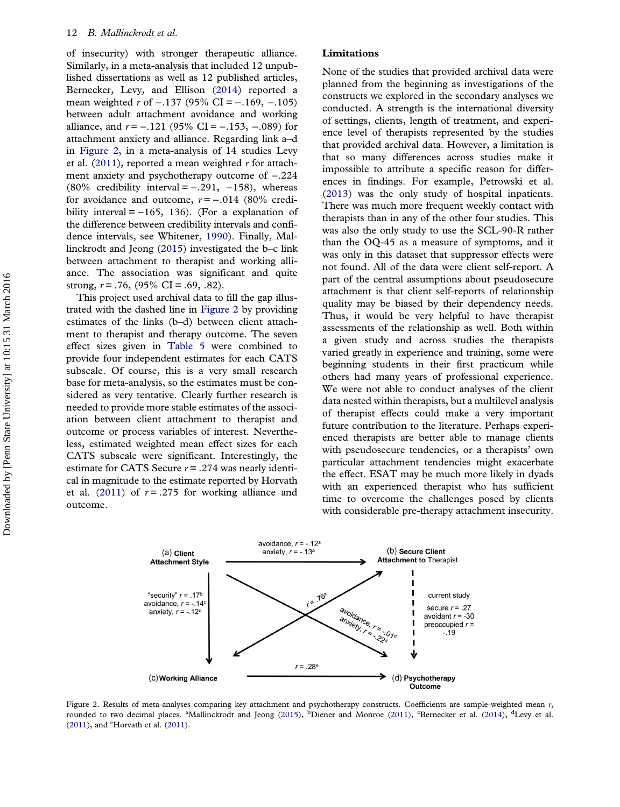<span id="page-12-0"></span>of insecurity) with stronger therapeutic alliance. Similarly, in a meta-analysis that included 12 unpublished dissertations as well as 12 published articles, Bernecker, Levy, and Ellison [\(2014\)](#page-13-0) reported a mean weighted r of -.137 (95% CI = -.169, -.105) between adult attachment avoidance and working alliance, and  $r = −.121$  (95% CI =  $-.153$ ,  $-.089$ ) for attachment anxiety and alliance. Regarding link a–d in Figure 2, in a meta-analysis of 14 studies Levy et al.  $(2011)$  $(2011)$ , reported a mean weighted r for attachment anxiety and psychotherapy outcome of −.224 (80% credibility interval =  $-.291, -158$ ), whereas for avoidance and outcome,  $r = -.014$  (80% credibility interval =  $-165$ , 136). (For a explanation of the difference between credibility intervals and confidence intervals, see Whitener, [1990](#page-15-0)). Finally, Mallinckrodt and Jeong [\(2015\)](#page-14-0) investigated the b–c link between attachment to therapist and working alliance. The association was significant and quite strong,  $r = .76$ ,  $(95\% \text{ CI} = .69, .82)$ .

This project used archival data to fill the gap illustrated with the dashed line in Figure 2 by providing estimates of the links (b–d) between client attachment to therapist and therapy outcome. The seven effect sizes given in [Table 5](#page-9-0) were combined to provide four independent estimates for each CATS subscale. Of course, this is a very small research base for meta-analysis, so the estimates must be considered as very tentative. Clearly further research is needed to provide more stable estimates of the association between client attachment to therapist and outcome or process variables of interest. Nevertheless, estimated weighted mean effect sizes for each CATS subscale were significant. Interestingly, the estimate for CATS Secure  $r = .274$  was nearly identical in magnitude to the estimate reported by Horvath et al. ([2011](#page-13-0)) of  $r = .275$  for working alliance and outcome.

### Limitations

None of the studies that provided archival data were planned from the beginning as investigations of the constructs we explored in the secondary analyses we conducted. A strength is the international diversity of settings, clients, length of treatment, and experience level of therapists represented by the studies that provided archival data. However, a limitation is that so many differences across studies make it impossible to attribute a specific reason for differences in findings. For example, Petrowski et al. ([2013](#page-14-0)) was the only study of hospital inpatients. There was much more frequent weekly contact with therapists than in any of the other four studies. This was also the only study to use the SCL-90-R rather than the OQ-45 as a measure of symptoms, and it was only in this dataset that suppressor effects were not found. All of the data were client self-report. A part of the central assumptions about pseudosecure attachment is that client self-reports of relationship quality may be biased by their dependency needs. Thus, it would be very helpful to have therapist assessments of the relationship as well. Both within a given study and across studies the therapists varied greatly in experience and training, some were beginning students in their first practicum while others had many years of professional experience. We were not able to conduct analyses of the client data nested within therapists, but a multilevel analysis of therapist effects could make a very important future contribution to the literature. Perhaps experienced therapists are better able to manage clients with pseudosecure tendencies, or a therapists' own particular attachment tendencies might exacerbate the effect. ESAT may be much more likely in dyads with an experienced therapist who has sufficient time to overcome the challenges posed by clients with considerable pre-therapy attachment insecurity.



Figure 2. Results of meta-analyses comparing key attachment and psychotherapy constructs. Coefficients are sample-weighted mean  $r$ , rounded to two decimal places. <sup>a</sup>Mallinckrodt and Jeong [\(2015](#page-14-0)), <sup>b</sup>Diener and Monroe [\(2011](#page-13-0)), <sup>c</sup>Bernecker et al. [\(2014\)](#page-13-0), <sup>d</sup>Levy et al.  $(2011)$  $(2011)$ , and  $\textdegree$ Horvath et al.  $(2011)$ .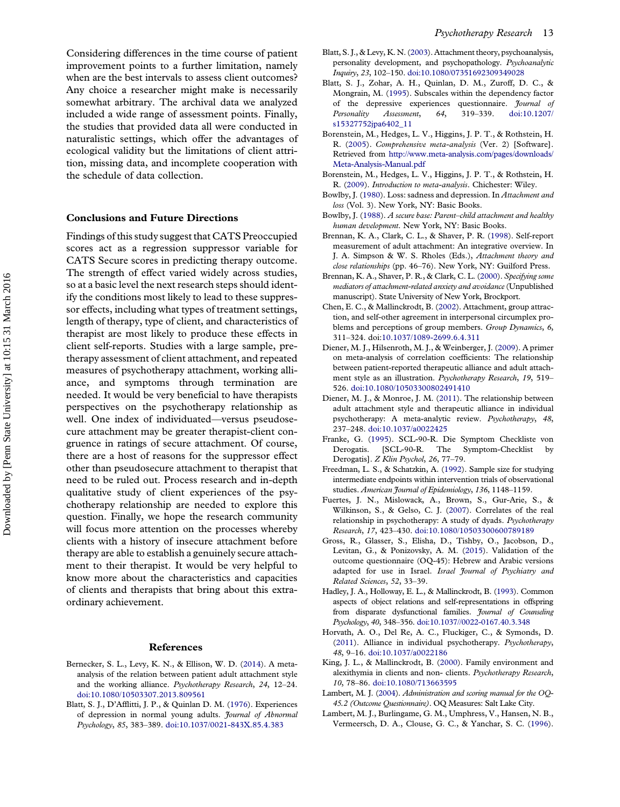<span id="page-13-0"></span>Considering differences in the time course of patient improvement points to a further limitation, namely when are the best intervals to assess client outcomes? Any choice a researcher might make is necessarily somewhat arbitrary. The archival data we analyzed included a wide range of assessment points. Finally, the studies that provided data all were conducted in naturalistic settings, which offer the advantages of ecological validity but the limitations of client attrition, missing data, and incomplete cooperation with the schedule of data collection.

### Conclusions and Future Directions

Findings of this study suggest that CATS Preoccupied scores act as a regression suppressor variable for CATS Secure scores in predicting therapy outcome. The strength of effect varied widely across studies, so at a basic level the next research steps should identify the conditions most likely to lead to these suppressor effects, including what types of treatment settings, length of therapy, type of client, and characteristics of therapist are most likely to produce these effects in client self-reports. Studies with a large sample, pretherapy assessment of client attachment, and repeated measures of psychotherapy attachment, working alliance, and symptoms through termination are needed. It would be very beneficial to have therapists perspectives on the psychotherapy relationship as well. One index of individuated—versus pseudosecure attachment may be greater therapist-client congruence in ratings of secure attachment. Of course, there are a host of reasons for the suppressor effect other than pseudosecure attachment to therapist that need to be ruled out. Process research and in-depth qualitative study of client experiences of the psychotherapy relationship are needed to explore this question. Finally, we hope the research community will focus more attention on the processes whereby clients with a history of insecure attachment before therapy are able to establish a genuinely secure attachment to their therapist. It would be very helpful to know more about the characteristics and capacities of clients and therapists that bring about this extraordinary achievement.

### References

- Bernecker, S. L., Levy, K. N., & Ellison, W. D. [\(2014](#page-12-0)). A metaanalysis of the relation between patient adult attachment style and the working alliance. Psychotherapy Research, 24, 12–24. [doi:10.1080/10503307.2013.809561](http://dx.doi.org/10.1080/10503307.2013.809561)
- Blatt, S. J., D'Afflitti, J. P., & Quinlan D. M. [\(1976](#page-10-0)). Experiences of depression in normal young adults. Journal of Abnormal Psychology, 85, 383–389. [doi:10.1037/0021-843X.85.4.383](http://dx.doi.org/10.1037/0021-843X.85.4.383)
- Blatt, S. J., & Levy, K. N. [\(2003](#page-10-0)). Attachment theory, psychoanalysis, personality development, and psychopathology. Psychoanalytic Inquiry, 23, 102–150. [doi:10.1080/07351692309349028](http://dx.doi.org/10.1080/07351692309349028)
- Blatt, S. J., Zohar, A. H., Quinlan, D. M., Zuroff, D. C., & Mongrain, M. [\(1995\)](#page-10-0). Subscales within the dependency factor of the depressive experiences questionnaire. Journal of Personality Assessment, 64, 319–339. [doi:10.1207/](http://dx.doi.org/10.1207/s15327752jpa6402_11) [s15327752jpa6402\\_11](http://dx.doi.org/10.1207/s15327752jpa6402_11)
- Borenstein, M., Hedges, L. V., Higgins, J. P. T., & Rothstein, H. R. [\(2005](#page-10-0)). Comprehensive meta-analysis (Ver. 2) [Software]. Retrieved from [http://www.meta-analysis.com/pages/downloads/](http://www.meta-analysis.com/pages/downloads/Meta-Analysis-Manual.pdf) [Meta-Analysis-Manual.pdf](http://www.meta-analysis.com/pages/downloads/Meta-Analysis-Manual.pdf)
- Borenstein, M., Hedges, L. V., Higgins, J. P. T., & Rothstein, H. R. ([2009](#page-10-0)). Introduction to meta-analysis. Chichester: Wiley.
- Bowlby, J. [\(1980\)](#page-2-0). Loss: sadness and depression. In Attachment and loss (Vol. 3). New York, NY: Basic Books.
- Bowlby, J. ([1988](#page-1-0)). A secure base: Parent–child attachment and healthy human development. New York, NY: Basic Books.
- Brennan, K. A., Clark, C. L., & Shaver, P. R. [\(1998\)](#page-5-0). Self-report measurement of adult attachment: An integrative overview. In J. A. Simpson & W. S. Rholes (Eds.), Attachment theory and close relationships (pp. 46–76). New York, NY: Guilford Press.
- Brennan, K. A., Shaver, P. R., & Clark, C. L. ([2000\)](#page-5-0). Specifying some mediators of attachment-related anxiety and avoidance(Unpublished manuscript). State University of New York, Brockport.
- Chen, E. C., & Mallinckrodt, B. [\(2002](#page-2-0)). Attachment, group attraction, and self-other agreement in interpersonal circumplex problems and perceptions of group members. Group Dynamics, 6, 311–324. doi[:10.1037/1089-2699.6.4.311](http://dx.doi.org/10.1037/1089-2699.6.4.311)
- Diener, M. J., Hilsenroth, M. J., & Weinberger, J. [\(2009\)](#page-10-0). A primer on meta-analysis of correlation coefficients: The relationship between patient-reported therapeutic alliance and adult attachment style as an illustration. Psychotherapy Research, 19, 519– 526. [doi:10.1080/10503300802491410](http://dx.doi.org/10.1080/10503300802491410)
- Diener, M. J., & Monroe, J. M. ([2011\)](#page-11-0). The relationship between adult attachment style and therapeutic alliance in individual psychotherapy: A meta-analytic review. Psychotherapy, 48, 237–248. [doi:10.1037/a0022425](http://dx.doi.org/10.1037/a0022425)
- Franke, G. ([1995\)](#page-6-0). SCL-90-R. Die Symptom Checkliste von Derogatis. [SCL-90-R. The Symptom-Checklist by Derogatis]. Z Klin Psychol, 26, 77-79.
- Freedman, L. S., & Schatzkin, A. ([1992\)](#page-7-0). Sample size for studying intermediate endpoints within intervention trials of observational studies. American Journal of Epidemiology, 136, 1148-1159.
- Fuertes, J. N., Mislowack, A., Brown, S., Gur-Arie, S., & Wilkinson, S., & Gelso, C. J. [\(2007](#page-4-0)). Correlates of the real relationship in psychotherapy: A study of dyads. Psychotherapy Research, 17, 423–430. [doi:10.1080/10503300600789189](http://dx.doi.org/10.1080/10503300600789189)
- Gross, R., Glasser, S., Elisha, D., Tishby, O., Jacobson, D., Levitan, G., & Ponizovsky, A. M. [\(2015\)](#page-6-0). Validation of the outcome questionnaire (OQ-45): Hebrew and Arabic versions adapted for use in Israel. Israel Journal of Psychiatry and Related Sciences, 52, 33–39.
- Hadley, J. A., Holloway, E. L., & Mallinckrodt, B. [\(1993\)](#page-11-0). Common aspects of object relations and self-representations in offspring from disparate dysfunctional families. Journal of Counseling Psychology, 40, 348–356. [doi:10.1037//0022-0167.40.3.348](http://dx.doi.org/10.1037//0022-0167.40.3.348)
- Horvath, A. O., Del Re, A. C., Fluckiger, C., & Symonds, D. [\(2011\)](#page-11-0). Alliance in individual psychotherapy. Psychotherapy, 48, 9–16. [doi:10.1037/a0022186](http://dx.doi.org/10.1037/a0022186)
- King, J. L., & Mallinckrodt, B. ([2000\)](#page-11-0). Family environment and alexithymia in clients and non- clients. Psychotherapy Research, 10, 78–86. [doi:10.1080/713663595](http://dx.doi.org/10.1080/713663595)
- Lambert, M. J. [\(2004\)](#page-6-0). Administration and scoring manual for the OQ-45.2 (Outcome Questionnaire). OQ Measures: Salt Lake City.
- Lambert, M. J., Burlingame, G. M., Umphress, V., Hansen, N. B., Vermeersch, D. A., Clouse, G. C., & Yanchar, S. C. ([1996\)](#page-6-0).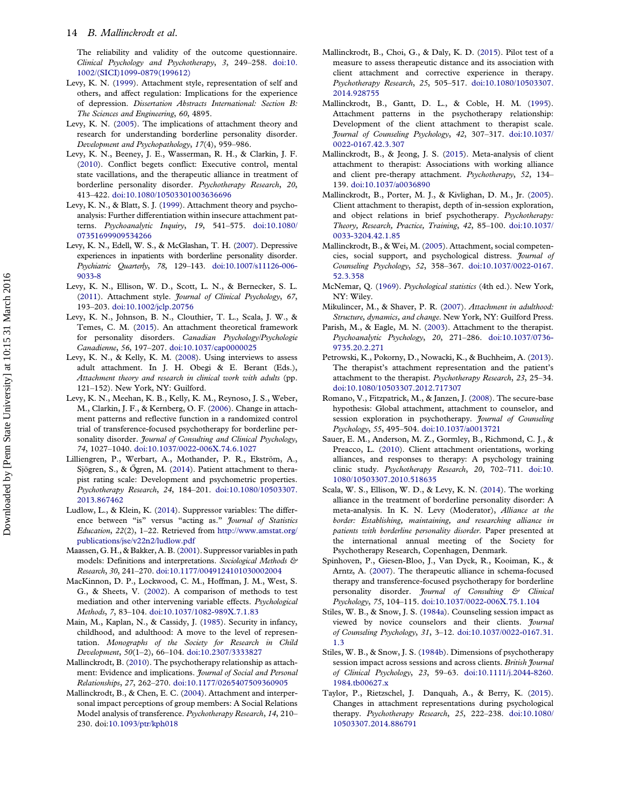<span id="page-14-0"></span>The reliability and validity of the outcome questionnaire. Clinical Psychology and Psychotherapy, 3, 249–258. [doi:10.](http://dx.doi.org/10.1002/(SICI)1099-0879(199612)) [1002/\(SICI\)1099-0879\(199612\)](http://dx.doi.org/10.1002/(SICI)1099-0879(199612))

- Levy, K. N. ([1999\)](#page-10-0). Attachment style, representation of self and others, and affect regulation: Implications for the experience of depression. Dissertation Abstracts International: Section B: The Sciences and Engineering, 60, 4895.
- Levy, K. N. [\(2005\)](#page-11-0). The implications of attachment theory and research for understanding borderline personality disorder. Development and Psychopathology, 17(4), 959–986.
- Levy, K. N., Beeney, J. E., Wasserman, R. H., & Clarkin, J. F. ([2010\)](#page-2-0). Conflict begets conflict: Executive control, mental state vacillations, and the therapeutic alliance in treatment of borderline personality disorder. Psychotherapy Research, 20, 413–422. [doi:10.1080/10503301003636696](http://dx.doi.org/10.1080/10503301003636696)
- Levy, K. N., & Blatt, S. J. [\(1999\)](#page-10-0). Attachment theory and psychoanalysis: Further differentiation within insecure attachment patterns. Psychoanalytic Inquiry, 19, 541–575. [doi:10.1080/](http://dx.doi.org/10.1080/07351699909534266) [07351699909534266](http://dx.doi.org/10.1080/07351699909534266)
- Levy, K. N., Edell, W. S., & McGlashan, T. H. [\(2007\)](#page-10-0). Depressive experiences in inpatients with borderline personality disorder. Psychiatric Quarterly, 78, 129–143. [doi:10.1007/s11126-006-](http://dx.doi.org/10.1007/s11126-006-9033-8) [9033-8](http://dx.doi.org/10.1007/s11126-006-9033-8)
- Levy, K. N., Ellison, W. D., Scott, L. N., & Bernecker, S. L. ([2011\)](#page-11-0). Attachment style. Journal of Clinical Psychology, 67, 193–203. [doi:10.1002/jclp.20756](http://dx.doi.org/10.1002/jclp.20756)
- Levy, K. N., Johnson, B. N., Clouthier, T. L., Scala, J. W., & Temes, C. M. ([2015](#page-2-0)). An attachment theoretical framework for personality disorders. Canadian Psychology/Psychologie Canadienne, 56, 197–207. [doi:10.1037/cap0000025](http://dx.doi.org/10.1037/cap0000025)
- Levy, K. N., & Kelly, K. M. [\(2008](#page-2-0)). Using interviews to assess adult attachment. In J. H. Obegi & E. Berant (Eds.), Attachment theory and research in clinical work with adults (pp. 121–152). New York, NY: Guilford.
- Levy, K. N., Meehan, K. B., Kelly, K. M., Reynoso, J. S., Weber, M., Clarkin, J. F., & Kernberg, O. F. [\(2006](#page-2-0)). Change in attachment patterns and reflective function in a randomized control trial of transference-focused psychotherapy for borderline personality disorder. Journal of Consulting and Clinical Psychology, 74, 1027–1040. [doi:10.1037/0022-006X.74.6.1027](http://dx.doi.org/10.1037/0022-006X.74.6.1027)
- Lilliengren, P., Werbart, A., Mothander, P. R., Ekström, A., Sjögren, S., & Ögren, M. ([2014\)](#page-4-0). Patient attachment to therapist rating scale: Development and psychometric properties. Psychotherapy Research, 24, 184–201. [doi:10.1080/10503307.](http://dx.doi.org/10.1080/10503307.2013.867462) [2013.867462](http://dx.doi.org/10.1080/10503307.2013.867462)
- Ludlow, L., & Klein, K. ([2014\)](#page-7-0). Suppressor variables: The difference between "is" versus "acting as." *Journal of Statistics* Education, 22(2), 1–22. Retrieved from [http://www.amstat.org/](http://www.amstat.org/publications/jse/v22n2/ludlow.pdf) [publications/jse/v22n2/ludlow.pdf](http://www.amstat.org/publications/jse/v22n2/ludlow.pdf)
- Maassen, G. H., & Bakker, A. B. ([2001\)](#page-6-0). Suppressor variables in path models: Definitions and interpretations. Sociological Methods & Research, 30, 241–270. [doi:10.1177/0049124101030002004](http://dx.doi.org/10.1177/0049124101030002004)
- MacKinnon, D. P., Lockwood, C. M., Hoffman, J. M., West, S. G., & Sheets, V. ([2002\)](#page-7-0). A comparison of methods to test mediation and other intervening variable effects. Psychological Methods, 7, 83–104. [doi:10.1037/1082-989X.7.1.83](http://dx.doi.org/10.1037/1082-989X.7.1.83)
- Main, M., Kaplan, N., & Cassidy, J. [\(1985\)](#page-2-0). Security in infancy, childhood, and adulthood: A move to the level of representation. Monographs of the Society for Research in Child Development, 50(1–2), 66–104. [doi:10.2307/3333827](http://dx.doi.org/10.2307/3333827)
- Mallinckrodt, B. ([2010](#page-1-0)). The psychotherapy relationship as attachment: Evidence and implications. Journal of Social and Personal Relationships, 27, 262–270. [doi:10.1177/0265407509360905](http://dx.doi.org/10.1177/0265407509360905)
- Mallinckrodt, B., & Chen, E. C. ([2004\)](#page-2-0). Attachment and interpersonal impact perceptions of group members: A Social Relations Model analysis of transference. Psychotherapy Research, 14, 210– 230. doi:[10.1093/ptr/kph018](http://dx.doi.org/10.1093/ptr/kph018)
- Mallinckrodt, B., Choi, G., & Daly, K. D. [\(2015](#page-2-0)). Pilot test of a measure to assess therapeutic distance and its association with client attachment and corrective experience in therapy. Psychotherapy Research, 25, 505–517. [doi:10.1080/10503307.](http://dx.doi.org/10.1080/10503307.2014.928755) [2014.928755](http://dx.doi.org/10.1080/10503307.2014.928755)
- Mallinckrodt, B., Gantt, D. L., & Coble, H. M. ([1995\)](#page-2-0). Attachment patterns in the psychotherapy relationship: Development of the client attachment to therapist scale. Journal of Counseling Psychology, 42, 307–317. [doi:10.1037/](http://dx.doi.org/10.1037/0022-0167.42.3.307) [0022-0167.42.3.307](http://dx.doi.org/10.1037/0022-0167.42.3.307)
- Mallinckrodt, B., & Jeong, J. S. [\(2015](#page-2-0)). Meta-analysis of client attachment to therapist: Associations with working alliance and client pre-therapy attachment. Psychotherapy, 52, 134– 139. [doi:10.1037/a0036890](http://dx.doi.org/10.1037/a0036890)
- Mallinckrodt, B., Porter, M. J., & Kivlighan, D. M., Jr. ([2005\)](#page-3-0). Client attachment to therapist, depth of in-session exploration, and object relations in brief psychotherapy. Psychotherapy: Theory, Research, Practice, Training, 42, 85–100. [doi:10.1037/](http://dx.doi.org/10.1037/0033-3204.42.1.85) [0033-3204.42.1.85](http://dx.doi.org/10.1037/0033-3204.42.1.85)
- Mallinckrodt, B., & Wei, M. ([2005](#page-6-0)). Attachment, social competencies, social support, and psychological distress. *Journal of* Counseling Psychology, 52, 358–367. [doi:10.1037/0022-0167.](http://dx.doi.org/10.1037/0022-0167.52.3.358) [52.3.358](http://dx.doi.org/10.1037/0022-0167.52.3.358)
- McNemar, Q. [\(1969](#page-6-0)). Psychological statistics (4th ed.). New York, NY: Wiley.
- Mikulincer, M., & Shaver, P. R. ([2007](#page-1-0)). Attachment in adulthood: Structure, dynamics, and change. New York, NY: Guilford Press.
- Parish, M., & Eagle, M. N. [\(2003](#page-4-0)). Attachment to the therapist. Psychoanalytic Psychology, 20, 271–286. [doi:10.1037/0736-](http://dx.doi.org/10.1037/0736-9735.20.2.271) [9735.20.2.271](http://dx.doi.org/10.1037/0736-9735.20.2.271)
- Petrowski, K., Pokorny, D., Nowacki, K., & Buchheim, A. ([2013\)](#page-4-0). The therapist's attachment representation and the patient's attachment to the therapist. Psychotherapy Research, 23, 25–34. [doi:10.1080/10503307.2012.717307](http://dx.doi.org/10.1080/10503307.2012.717307)
- Romano, V., Fitzpatrick, M., & Janzen, J. ([2008](#page-3-0)). The secure-base hypothesis: Global attachment, attachment to counselor, and session exploration in psychotherapy. Journal of Counseling Psychology, 55, 495–504. [doi:10.1037/a0013721](http://dx.doi.org/10.1037/a0013721)
- Sauer, E. M., Anderson, M. Z., Gormley, B., Richmond, C. J., & Preacco, L. [\(2010\)](#page-3-0). Client attachment orientations, working alliances, and responses to therapy: A psychology training clinic study. Psychotherapy Research, 20, 702–711. [doi:10.](http://dx.doi.org/10.1080/10503307.2010.518635) [1080/10503307.2010.518635](http://dx.doi.org/10.1080/10503307.2010.518635)
- Scala, W. S., Ellison, W. D., & Levy, K. N. ([2014](#page-2-0)). The working alliance in the treatment of borderline personality disorder: A meta-analysis. In K. N. Levy (Moderator), Alliance at the border: Establishing, maintaining, and researching alliance in patients with borderline personality disorder. Paper presented at the international annual meeting of the Society for Psychotherapy Research, Copenhagen, Denmark.
- Spinhoven, P., Giesen-Bloo, J., Van Dyck, R., Kooiman, K., & Arntz, A. [\(2007](#page-2-0)). The therapeutic alliance in schema-focused therapy and transference-focused psychotherapy for borderline personality disorder. Journal of Consulting & Clinical Psychology, 75, 104–115. [doi:10.1037/0022-006X.75.1.104](http://dx.doi.org/10.1037/0022-006X.75.1.104)
- Stiles, W. B., & Snow, J. S. ([1984a\)](#page-6-0). Counseling session impact as viewed by novice counselors and their clients. Journal of Counseling Psychology, 31, 3–12. [doi:10.1037/0022-0167.31.](http://dx.doi.org/10.1037/0022-0167.31.1.3) [1.3](http://dx.doi.org/10.1037/0022-0167.31.1.3)
- Stiles, W. B., & Snow, J. S. [\(1984b\)](#page-6-0). Dimensions of psychotherapy session impact across sessions and across clients. British Journal of Clinical Psychology, 23, 59–63. [doi:10.1111/j.2044-8260.](http://dx.doi.org/10.1111/j.2044-8260.1984.tb00627.x) [1984.tb00627.x](http://dx.doi.org/10.1111/j.2044-8260.1984.tb00627.x)
- Taylor, P., Rietzschel, J. Danquah, A., & Berry, K. ([2015\)](#page-3-0). Changes in attachment representations during psychological therapy. Psychotherapy Research, 25, 222–238. [doi:10.1080/](http://dx.doi.org/10.1080/10503307.2014.886791) [10503307.2014.886791](http://dx.doi.org/10.1080/10503307.2014.886791)